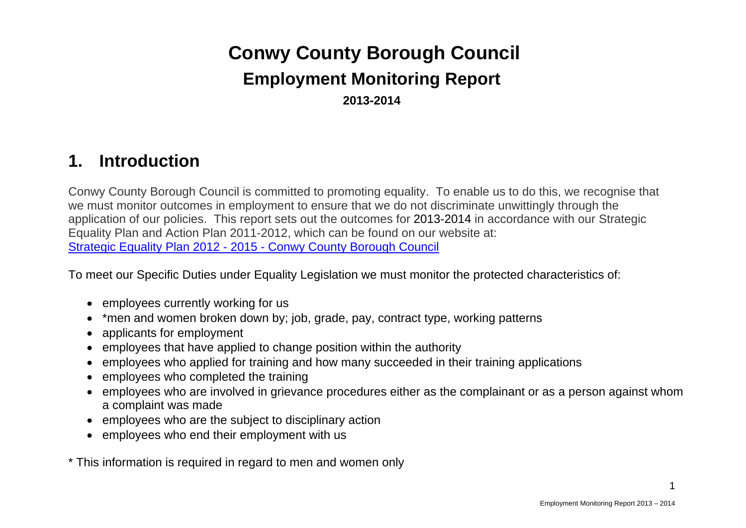# **Conwy County Borough Council Employment Monitoring Report 2013-2014**

## **1. Introduction**

Conwy County Borough Council is committed to promoting equality. To enable us to do this, we recognise that we must monitor outcomes in employment to ensure that we do not discriminate unwittingly through the application of our policies. This report sets out the outcomes for 2013-2014 in accordance with our Strategic Equality Plan and Action Plan 2011-2012, which can be found on our website at: Strategic Equality Plan 2012 - 2015 - Conwy County Borough Council

To meet our Specific Duties under Equality Legislation we must monitor the protected characteristics of:

- employees currently working for us
- \*men and women broken down by; job, grade, pay, contract type, working patterns
- applicants for employment
- employees that have applied to change position within the authority
- employees who applied for training and how many succeeded in their training applications
- employees who completed the training
- employees who are involved in grievance procedures either as the complainant or as a person against whom a complaint was made
- employees who are the subject to disciplinary action
- employees who end their employment with us

\* This information is required in regard to men and women only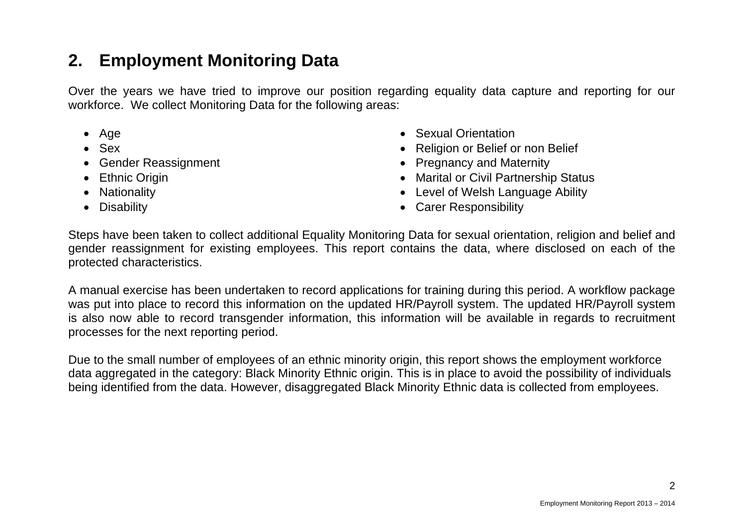# **2. Employment Monitoring Data**

Over the years we have tried to improve our position regarding equality data capture and reporting for our workforce. We collect Monitoring Data for the following areas:

- Age
- Sex
- Gender Reassignment
- Ethnic Origin
- Nationality
- Disability
- Sexual Orientation
- Religion or Belief or non Belief
- Pregnancy and Maternity
- Marital or Civil Partnership Status
- Level of Welsh Language Ability
- Carer Responsibility

Steps have been taken to collect additional Equality Monitoring Data for sexual orientation, religion and belief and gender reassignment for existing employees. This report contains the data, where disclosed on each of the protected characteristics.

A manual exercise has been undertaken to record applications for training during this period. A workflow package was put into place to record this information on the updated HR/Payroll system. The updated HR/Payroll system is also now able to record transgender information, this information will be available in regards to recruitment processes for the next reporting period.

Due to the small number of employees of an ethnic minority origin, this report shows the employment workforce data aggregated in the category: Black Minority Ethnic origin. This is in place to avoid the possibility of individuals being identified from the data. However, disaggregated Black Minority Ethnic data is collected from employees.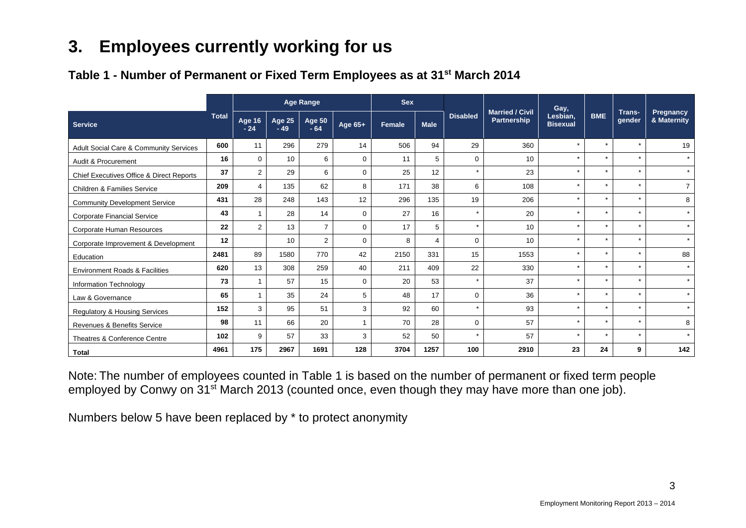# **3. Employees currently working for us**

## **Table 1 - Number of Permanent or Fixed Term Employees as at 31st March 2014**

|                                           |              |                        |                        | <b>Age Range</b>       |             | <b>Sex</b> |                |                 |                                              | Gay,                        |            |                  |                          |
|-------------------------------------------|--------------|------------------------|------------------------|------------------------|-------------|------------|----------------|-----------------|----------------------------------------------|-----------------------------|------------|------------------|--------------------------|
| <b>Service</b>                            | <b>Total</b> | <b>Age 16</b><br>$-24$ | <b>Age 25</b><br>$-49$ | <b>Age 50</b><br>$-64$ | Age 65+     | Female     | <b>Male</b>    | <b>Disabled</b> | <b>Married / Civil</b><br><b>Partnership</b> | Lesbian,<br><b>Bisexual</b> | <b>BME</b> | Trans-<br>gender | Pregnancy<br>& Maternity |
| Adult Social Care & Community Services    | 600          | 11                     | 296                    | 279                    | 14          | 506        | 94             | 29              | 360                                          | $\star$                     | $\star$    | $\star$          | 19                       |
| Audit & Procurement                       | 16           | $\mathbf 0$            | 10                     | 6                      | $\Omega$    | 11         | 5              | $\Omega$        | 10                                           | $\star$                     | $\star$    | $\star$          | $\star$                  |
| Chief Executives Office & Direct Reports  | 37           | $\overline{2}$         | 29                     | 6                      | $\mathbf 0$ | 25         | 12             | $\star$         | 23                                           | $\star$                     | $\star$    | $\star$          | $\star$                  |
| <b>Children &amp; Families Service</b>    | 209          | 4                      | 135                    | 62                     | 8           | 171        | 38             | 6               | 108                                          | $\star$                     | $\star$    | $\star$          | $\overline{7}$           |
| <b>Community Development Service</b>      | 431          | 28                     | 248                    | 143                    | 12          | 296        | 135            | 19              | 206                                          | $\star$                     | $\star$    | $\star$          | 8                        |
| <b>Corporate Financial Service</b>        | 43           |                        | 28                     | 14                     | $\mathbf 0$ | 27         | 16             | $\star$         | 20                                           | $\star$                     | $\star$    | $\star$          | $\star$                  |
| <b>Corporate Human Resources</b>          | 22           | $\overline{2}$         | 13                     | $\overline{7}$         | $\Omega$    | 17         | 5              | $\star$         | 10                                           | $\star$                     | $\star$    | $\star$          | $\star$                  |
| Corporate Improvement & Development       | 12           |                        | 10                     | 2                      | $\mathbf 0$ | 8          | $\overline{4}$ | $\mathbf 0$     | 10                                           | $\star$                     | $\star$    | $\star$          | $\star$                  |
| Education                                 | 2481         | 89                     | 1580                   | 770                    | 42          | 2150       | 331            | 15              | 1553                                         | $\star$                     | $\star$    | $\star$          | 88                       |
| <b>Environment Roads &amp; Facilities</b> | 620          | 13                     | 308                    | 259                    | 40          | 211        | 409            | 22              | 330                                          | $\star$                     | $\star$    | $\star$          | $\star$                  |
| Information Technology                    | 73           |                        | 57                     | 15                     | 0           | 20         | 53             | $\star$         | 37                                           | $\star$                     | $\star$    | $\star$          | $\star$                  |
| Law & Governance                          | 65           |                        | 35                     | 24                     | 5           | 48         | 17             | $\Omega$        | 36                                           | $\star$                     | $\star$    | $\star$          | $\star$                  |
| <b>Regulatory &amp; Housing Services</b>  | 152          | 3                      | 95                     | 51                     | 3           | 92         | 60             | $\star$         | 93                                           | $\star$                     | $\star$    | $\star$          | $\star$                  |
| <b>Revenues &amp; Benefits Service</b>    | 98           | 11                     | 66                     | 20                     |             | 70         | 28             | $\Omega$        | 57                                           | $\star$                     | $\star$    | $\star$          | 8                        |
| Theatres & Conference Centre              | 102          | 9                      | 57                     | 33                     | 3           | 52         | 50             | $\star$         | 57                                           | $\star$                     | $\star$    | $\star$          | $\star$                  |
| <b>Total</b>                              | 4961         | 175                    | 2967                   | 1691                   | 128         | 3704       | 1257           | 100             | 2910                                         | 23                          | 24         | 9                | 142                      |

Note: The number of employees counted in Table 1 is based on the number of permanent or fixed term people employed by Conwy on 31<sup>st</sup> March 2013 (counted once, even though they may have more than one job).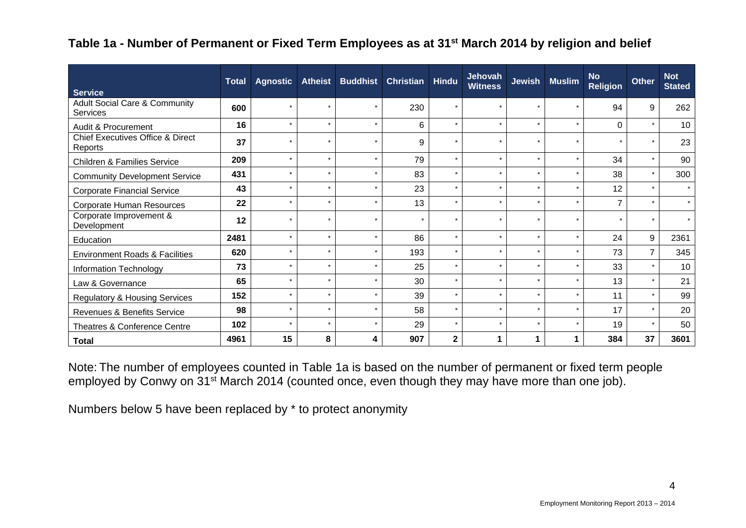#### **Table 1a - Number of Permanent or Fixed Term Employees as at 31st March 2014 by religion and belief**

|                                                            | <b>Total</b> | <b>Agnostic</b> | <b>Atheist</b> | <b>Buddhist</b> | <b>Christian</b> | <b>Hindu</b> | <b>Jehovah</b><br><b>Witness</b> | <b>Jewish</b> | <b>Muslim</b> | <b>No</b><br><b>Religion</b> | <b>Other</b> | <b>Not</b><br><b>Stated</b> |
|------------------------------------------------------------|--------------|-----------------|----------------|-----------------|------------------|--------------|----------------------------------|---------------|---------------|------------------------------|--------------|-----------------------------|
| <b>Service</b><br><b>Adult Social Care &amp; Community</b> |              |                 | $\star$        | $\star$         |                  | $\star$      | $\star$                          |               | $\star$       |                              |              |                             |
| Services                                                   | 600          |                 |                |                 | 230              |              |                                  |               |               | 94                           | 9            | 262                         |
| Audit & Procurement                                        | 16           | $\star$         | $\star$        | $\star$         | 6                | $\star$      | $\star$                          | $\star$       | $\star$       | $\Omega$                     | $\star$      | 10                          |
| <b>Chief Executives Office &amp; Direct</b><br>Reports     | 37           |                 | $\star$        |                 | 9                |              | $\star$                          |               |               |                              | $\star$      | 23                          |
| <b>Children &amp; Families Service</b>                     | 209          |                 | $\star$        |                 | 79               | $\star$      | $\star$                          | $\star$       | $\star$       | 34                           | $\star$      | 90                          |
| <b>Community Development Service</b>                       | 431          |                 | $\star$        | ÷               | 83               | $\star$      | $\star$                          | $\star$       | $\star$       | 38                           | $\star$      | 300                         |
| <b>Corporate Financial Service</b>                         | 43           |                 | $\star$        | ÷               | 23               | $\star$      | $\star$                          | $\star$       | $\star$       | 12                           | $\star$      | $\star$                     |
| Corporate Human Resources                                  | 22           |                 | $\star$        |                 | 13               | $\star$      | $\star$                          |               | $\star$       | $\overline{7}$               | $\star$      | $\star$                     |
| Corporate Improvement &<br>Development                     | 12           |                 | $\star$        | $\star$         | $\star$          | $\star$      | $\star$                          | $\star$       | $\star$       |                              | $\star$      |                             |
| Education                                                  | 2481         |                 | $\star$        | $\star$         | 86               | $\star$      | $\star$                          | $\star$       | $\star$       | 24                           | 9            | 2361                        |
| <b>Environment Roads &amp; Facilities</b>                  | 620          | $\star$         | $\star$        | $\star$         | 193              | $\star$      | $\star$                          | $\star$       | $\star$       | 73                           | 7            | 345                         |
| Information Technology                                     | 73           |                 | $\star$        |                 | 25               | $\star$      | $\star$                          | $\star$       | $\star$       | 33                           | $\star$      | 10                          |
| Law & Governance                                           | 65           | $\star$         | $\star$        | $\star$         | 30               | $\star$      | $\star$                          | $\star$       | $\star$       | 13                           | $\star$      | 21                          |
| <b>Regulatory &amp; Housing Services</b>                   | 152          |                 | $\star$        | $\star$         | 39               | $\star$      | $\star$                          | $\star$       | $\star$       | 11                           | $\star$      | 99                          |
| Revenues & Benefits Service                                | 98           |                 | $\star$        | $\star$         | 58               | $\star$      | $\star$                          |               | $\star$       | 17                           | $\star$      | 20                          |
| Theatres & Conference Centre                               | 102          | $\star$         | $\star$        | $\star$         | 29               | $\star$      | $\star$                          | $\star$       | $\star$       | 19                           | $\star$      | 50                          |
| <b>Total</b>                                               | 4961         | 15              | 8              | 4               | 907              | $\mathbf{2}$ |                                  |               | 1             | 384                          | 37           | 3601                        |

Note: The number of employees counted in Table 1a is based on the number of permanent or fixed term people employed by Conwy on 31<sup>st</sup> March 2014 (counted once, even though they may have more than one job).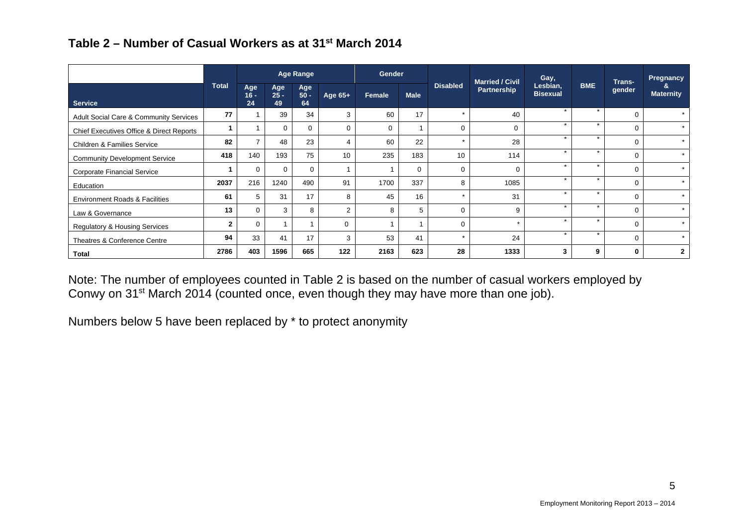|  | Table 2 – Number of Casual Workers as at 31 <sup>st</sup> March 2014 |
|--|----------------------------------------------------------------------|
|--|----------------------------------------------------------------------|

|                                                   |              |                     |                     | Age Range           |           | Gender      |             |                 | <b>Married / Civil</b> | Gay,                        |            | Trans-      | Pregnancy        |
|---------------------------------------------------|--------------|---------------------|---------------------|---------------------|-----------|-------------|-------------|-----------------|------------------------|-----------------------------|------------|-------------|------------------|
| <b>Service</b>                                    | <b>Total</b> | Age<br>$16 -$<br>24 | Age<br>$25 -$<br>49 | Age<br>$50 -$<br>64 | Age $65+$ | Female      | <b>Male</b> | <b>Disabled</b> | Partnership            | Lesbian,<br><b>Bisexual</b> | <b>BME</b> | gender      | <b>Maternity</b> |
| <b>Adult Social Care &amp; Community Services</b> | 77           |                     | 39                  | 34                  | 3         | 60          | 17          | $\star$         | 40                     | $\star$                     |            | $\mathbf 0$ | $\star$          |
| Chief Executives Office & Direct Reports          |              |                     | $\Omega$            | $\mathbf 0$         | $\Omega$  | $\mathbf 0$ |             | 0               | $\Omega$               | $\star$                     | $\star$    | $\Omega$    | $\star$          |
| <b>Children &amp; Families Service</b>            | 82           |                     | 48                  | 23                  | 4         | 60          | 22          | $\star$         | 28                     |                             | ÷          | $\Omega$    | $\star$          |
| <b>Community Development Service</b>              | 418          | 140                 | 193                 | 75                  | 10        | 235         | 183         | 10              | 114                    | $\star$                     | $\star$    | $\Omega$    | $\star$          |
| Corporate Financial Service                       |              | $\Omega$            | $\Omega$            | $\Omega$            |           |             | $\mathbf 0$ | $\Omega$        | $\Omega$               | $\star$                     | $\star$    | $\Omega$    | $\star$          |
| Education                                         | 2037         | 216                 | 1240                | 490                 | 91        | 1700        | 337         | 8               | 1085                   | $\star$                     | $\star$    | $\Omega$    | $\star$          |
| <b>Environment Roads &amp; Facilities</b>         | 61           | 5                   | 31                  | 17                  | 8         | 45          | 16          | $\star$         | 31                     | $\star$                     | $\star$    | $\Omega$    | $\star$          |
| Law & Governance                                  | 13           | $\Omega$            | 3                   | 8                   | 2         | 8           | 5           | 0               | 9                      | $\star$                     | $\star$    | $\mathbf 0$ | $\star$          |
| <b>Regulatory &amp; Housing Services</b>          | $\mathbf{2}$ | 0                   |                     |                     | $\Omega$  |             |             | $\Omega$        | $\star$                | $\star$                     | $\star$    | $\Omega$    | $\star$          |
| Theatres & Conference Centre                      | 94           | 33                  | 41                  | 17                  | 3         | 53          | 41          |                 | 24                     | $\star$                     | $\star$    | $\Omega$    |                  |
| Total                                             | 2786         | 403                 | 1596                | 665                 | 122       | 2163        | 623         | 28              | 1333                   | 3                           | 9          | 0           | $\mathbf{2}$     |

Note: The number of employees counted in Table 2 is based on the number of casual workers employed by Conwy on 31<sup>st</sup> March 2014 (counted once, even though they may have more than one job).

Numbers below 5 have been replaced by \* to protect anonymity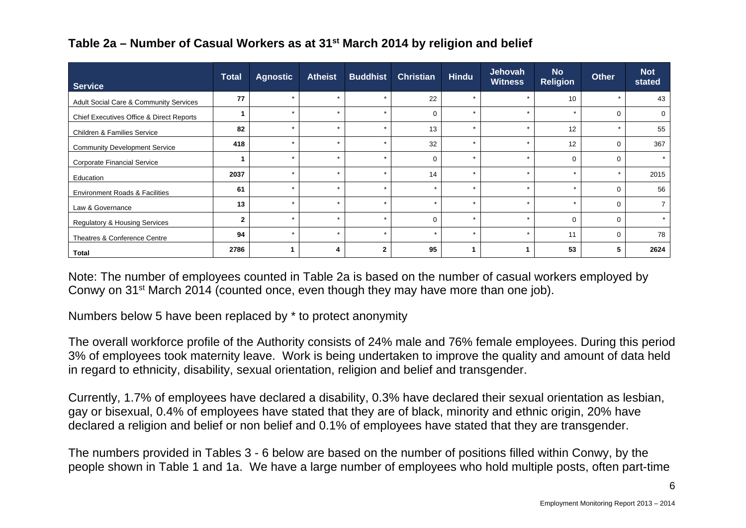| <b>Service</b>                                    | <b>Total</b>   | <b>Agnostic</b> | <b>Atheist</b> | <b>Buddhist</b> | <b>Christian</b> | <b>Hindu</b> | Jehovah<br><b>Witness</b> | <b>No</b><br><b>Religion</b> | <b>Other</b> | <b>Not</b><br>stated |
|---------------------------------------------------|----------------|-----------------|----------------|-----------------|------------------|--------------|---------------------------|------------------------------|--------------|----------------------|
| <b>Adult Social Care &amp; Community Services</b> | 77             |                 | $\star$        | $\star$         | 22               | $\star$      | $\star$                   | 10                           | $\star$      | 43                   |
| Chief Executives Office & Direct Reports          |                |                 |                | $\star$         | $\Omega$         | $\star$      | $\star$                   | $\star$                      | 0            | $\mathbf 0$          |
| <b>Children &amp; Families Service</b>            | 82             |                 | $\star$        | $\star$         | 13               | $\star$      | $\star$                   | 12                           |              | 55                   |
| <b>Community Development Service</b>              | 418            |                 | $\star$        | $\star$         | 32               | $\star$      |                           | 12                           | 0            | 367                  |
| Corporate Financial Service                       |                |                 |                | $\star$         | $\cap$           | $\star$      | ÷                         | $\Omega$                     | $\Omega$     |                      |
| Education                                         | 2037           |                 | $\star$        |                 | 14               | $\star$      | $\star$                   |                              |              | 2015                 |
| <b>Environment Roads &amp; Facilities</b>         | 61             | $\star$         | $\star$        | $\star$         | $\star$          | $\star$      | $\star$                   | $\star$                      | $\mathbf 0$  | 56                   |
| Law & Governance                                  | 13             |                 | $\star$        | $\star$         | $\star$          | $\star$      | $\star$                   | $\star$                      | $\Omega$     |                      |
| <b>Regulatory &amp; Housing Services</b>          | $\overline{2}$ |                 | $\star$        | $\star$         | $\Omega$         | $\star$      | $\star$                   | $\Omega$                     | $\mathbf 0$  |                      |
| Theatres & Conference Centre                      | 94             | ÷               | ÷              | $\star$         | $\star$          | $\star$      | ÷                         | 11                           | 0            | 78                   |
| Total                                             | 2786           |                 |                | $\mathbf{2}$    | 95               |              |                           | 53                           | 5            | 2624                 |

## **Table 2a – Number of Casual Workers as at 31st March 2014 by religion and belief**

Note: The number of employees counted in Table 2a is based on the number of casual workers employed by Conwy on 31st March 2014 (counted once, even though they may have more than one job).

Numbers below 5 have been replaced by \* to protect anonymity

The overall workforce profile of the Authority consists of 24% male and 76% female employees. During this period 3% of employees took maternity leave. Work is being undertaken to improve the quality and amount of data held in regard to ethnicity, disability, sexual orientation, religion and belief and transgender.

Currently, 1.7% of employees have declared a disability, 0.3% have declared their sexual orientation as lesbian, gay or bisexual, 0.4% of employees have stated that they are of black, minority and ethnic origin, 20% have declared a religion and belief or non belief and 0.1% of employees have stated that they are transgender.

The numbers provided in Tables 3 - 6 below are based on the number of positions filled within Conwy, by the people shown in Table 1 and 1a. We have a large number of employees who hold multiple posts, often part-time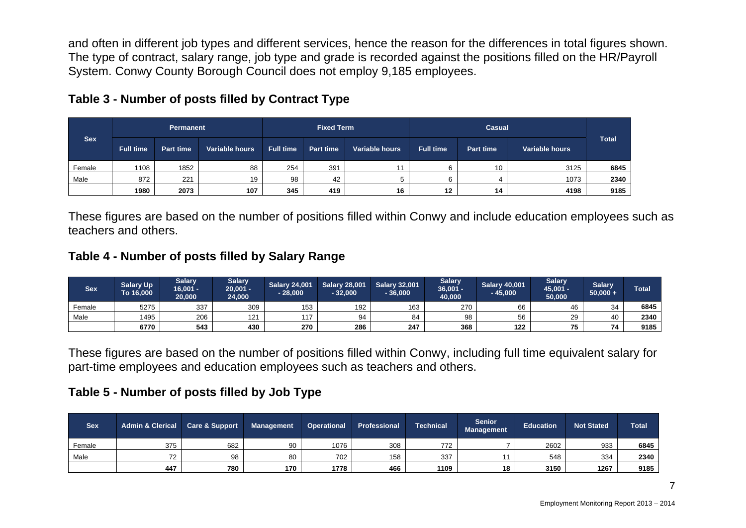and often in different job types and different services, hence the reason for the differences in total figures shown. The type of contract, salary range, job type and grade is recorded against the positions filled on the HR/Payroll System. Conwy County Borough Council does not employ 9,185 employees.

|            |                  | <b>Permanent</b> |                |                  | <b>Fixed Term</b> |                |                  | Casual           |                |              |
|------------|------------------|------------------|----------------|------------------|-------------------|----------------|------------------|------------------|----------------|--------------|
| <b>Sex</b> | <b>Full time</b> | <b>Part time</b> | Variable hours | <b>Full time</b> | <b>Part time</b>  | Variable hours | <b>Full time</b> | <b>Part time</b> | Variable hours | <b>Total</b> |
| Female     | 1108             | 1852             | 88             | 254              | 391               |                |                  | 10               | 3125           | 6845         |
| Male       | 872              | 221              | 19             | 98               | 42                |                |                  |                  | 1073           | 2340         |
|            | 1980             | 2073             | 107            | 345              | 419               | 16             | 12               | 14               | 4198           | 9185         |

## **Table 3 - Number of posts filled by Contract Type**

These figures are based on the number of positions filled within Conwy and include education employees such as teachers and others.

#### **Table 4 - Number of posts filled by Salary Range**

| <b>Sex</b> | <b>Salary Up</b><br>To 16,000 | <b>Salary</b><br>$16,001 -$<br>20,000 | <b>Salary</b><br>$20,001 -$<br>24,000 | <b>Salary 24,001</b><br>$-28,000$ | <b>Salary 28,001</b><br>$-32,000$ | <b>Salary 32,001</b><br>36,000 | <b>Salary</b><br>$36,001 -$<br>40.000 | <b>Salary 40,001</b><br>$-45,000$ | <b>Salary</b><br>45,001 -<br>50,000 | <b>Salary</b><br>$50,000 +$ | <b>Total</b> |
|------------|-------------------------------|---------------------------------------|---------------------------------------|-----------------------------------|-----------------------------------|--------------------------------|---------------------------------------|-----------------------------------|-------------------------------------|-----------------------------|--------------|
| Female     | 5275                          | 337                                   | 309                                   | 153                               | 192                               | 163                            | 270                                   | 66                                | 46                                  | $\mathcal{R}$<br>◡          | 6845         |
| Male       | 1495                          | 206                                   | 121                                   | 117                               | 94                                | 84                             | 98                                    | 56                                | 29                                  |                             | 2340         |
|            | 6770                          | 543                                   | 430                                   | 270                               | 286                               | 247                            | 368                                   | 122                               | 75                                  |                             | 9185         |

These figures are based on the number of positions filled within Conwy, including full time equivalent salary for part-time employees and education employees such as teachers and others.

#### **Table 5 - Number of posts filled by Job Type**

| <b>Sex</b> | <b>Admin &amp; Clerical</b> | <b>Care &amp; Support</b> | <b>Management</b> | <b>Operational</b> | <b>Professional</b> | <b>Technical</b> | <b>Senior</b><br>Management | <b>Education</b> | <b>Not Stated</b> | <b>Total</b> |
|------------|-----------------------------|---------------------------|-------------------|--------------------|---------------------|------------------|-----------------------------|------------------|-------------------|--------------|
| Female     | 375                         | 682                       | 90                | 1076               | 308                 | 772              |                             | 2602             | 933               | 6845         |
| Male       | 72                          | 98                        | 80                | 702                | 158                 | 337              |                             | 548              | 334               | 2340         |
|            | 447                         | 780                       | 170               | 1778               | 466                 | 1109             | 18                          | 3150             | 1267              | 9185         |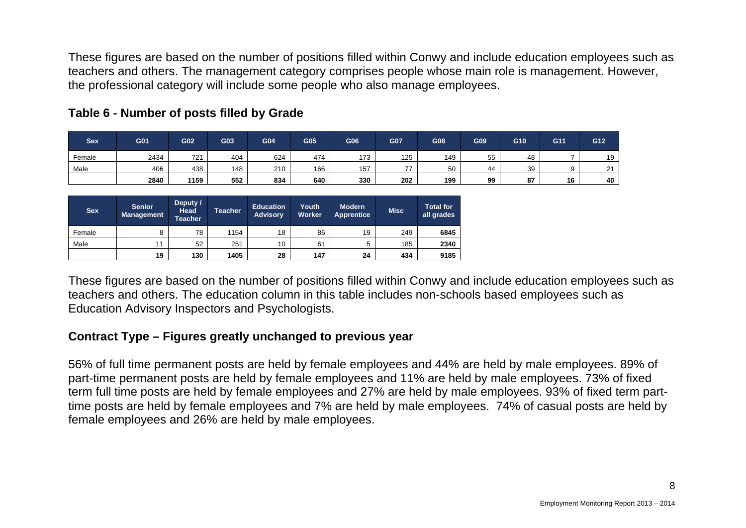These figures are based on the number of positions filled within Conwy and include education employees such as teachers and others. The management category comprises people whose main role is management. However, the professional category will include some people who also manage employees.

| Sex    | G01  | G02  | G03 | G04 | G05 | G06 | G07 | G08 | G09 | G10      | G11 | G12 |
|--------|------|------|-----|-----|-----|-----|-----|-----|-----|----------|-----|-----|
| Female | 2434 | 721  | 404 | 624 | 474 | 173 | 125 | 149 | 55  | 48       |     | 19  |
| Male   | 406  | 438  | 148 | 210 | 166 | 157 | --  | 50  | 44  | 39       |     | ິ   |
|        | 2840 | 1159 | 552 | 834 | 640 | 330 | 202 | 199 | 99  | 07<br>01 | 16  | 40  |

#### **Table 6 - Number of posts filled by Grade**

| <b>Sex</b> | <b>Senior</b><br><b>Management</b> | Deputy /<br><b>Head</b><br><b>Teacher</b> | <b>Teacher</b> | <b>Education</b><br><b>Advisory</b> | Youth<br><b>Worker</b> | <b>Modern</b><br><b>Apprentice</b> | <b>Misc</b> | <b>Total for</b><br>all grades |
|------------|------------------------------------|-------------------------------------------|----------------|-------------------------------------|------------------------|------------------------------------|-------------|--------------------------------|
| Female     |                                    | 78                                        | 1154           | 18                                  | 86                     | 19                                 | 249         | 6845                           |
| Male       | 11                                 | 52                                        | 251            | 10                                  | 61                     | 5                                  | 185         | 2340                           |
|            | 19                                 | 130                                       | 1405           | 28                                  | 147                    | 24                                 | 434         | 9185                           |

These figures are based on the number of positions filled within Conwy and include education employees such as teachers and others. The education column in this table includes non-schools based employees such as Education Advisory Inspectors and Psychologists.

#### **Contract Type – Figures greatly unchanged to previous year**

56% of full time permanent posts are held by female employees and 44% are held by male employees. 89% of part-time permanent posts are held by female employees and 11% are held by male employees. 73% of fixed term full time posts are held by female employees and 27% are held by male employees. 93% of fixed term parttime posts are held by female employees and 7% are held by male employees. 74% of casual posts are held by female employees and 26% are held by male employees.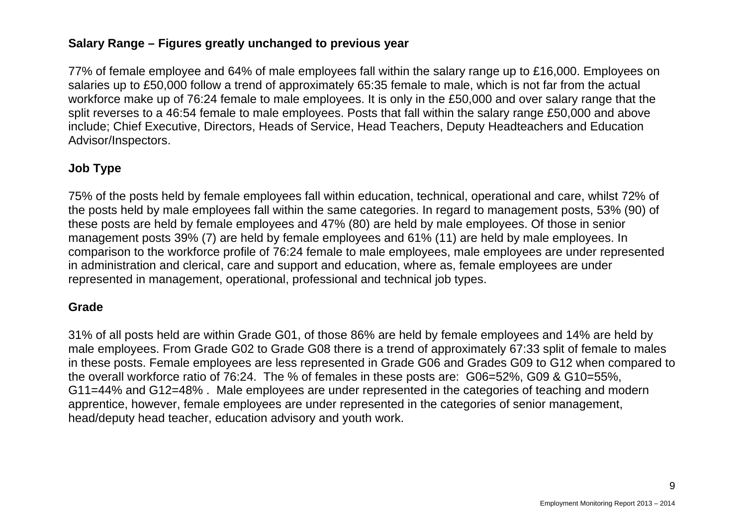## **Salary Range – Figures greatly unchanged to previous year**

77% of female employee and 64% of male employees fall within the salary range up to £16,000. Employees on salaries up to £50,000 follow a trend of approximately 65:35 female to male, which is not far from the actual workforce make up of 76:24 female to male employees. It is only in the £50,000 and over salary range that the split reverses to a 46:54 female to male employees. Posts that fall within the salary range £50,000 and above include; Chief Executive, Directors, Heads of Service, Head Teachers, Deputy Headteachers and Education Advisor/Inspectors.

#### **Job Type**

75% of the posts held by female employees fall within education, technical, operational and care, whilst 72% of the posts held by male employees fall within the same categories. In regard to management posts, 53% (90) of these posts are held by female employees and 47% (80) are held by male employees. Of those in senior management posts 39% (7) are held by female employees and 61% (11) are held by male employees. In comparison to the workforce profile of 76:24 female to male employees, male employees are under represented in administration and clerical, care and support and education, where as, female employees are under represented in management, operational, professional and technical job types.

#### **Grade**

31% of all posts held are within Grade G01, of those 86% are held by female employees and 14% are held by male employees. From Grade G02 to Grade G08 there is a trend of approximately 67:33 split of female to males in these posts. Female employees are less represented in Grade G06 and Grades G09 to G12 when compared to the overall workforce ratio of 76:24. The % of females in these posts are: G06=52%, G09 & G10=55%, G11=44% and G12=48% . Male employees are under represented in the categories of teaching and modern apprentice, however, female employees are under represented in the categories of senior management, head/deputy head teacher, education advisory and youth work.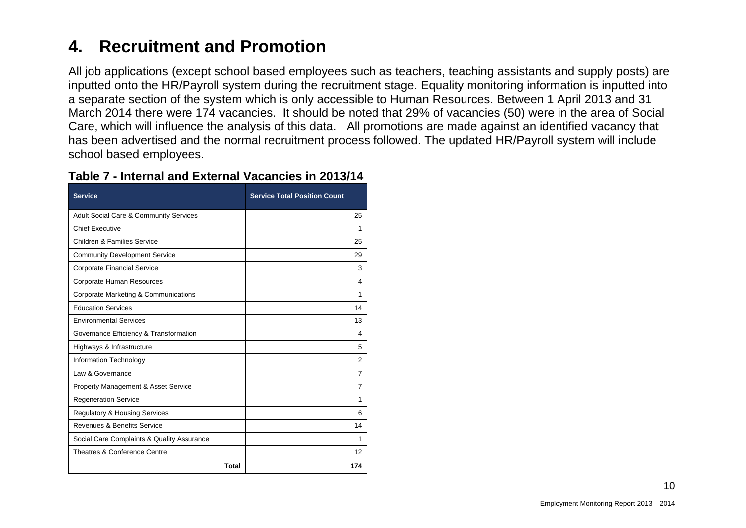#### **4.Recruitment and Promotion**

All job applications (except school based employees such as teachers, teaching assistants and supply posts) are inputted onto the HR/Payroll system during the recruitment stage. Equality monitoring information is inputted into a separate section of the system which is only accessible to Human Resources. Between 1 April 2013 and 31 March 2014 there were 174 vacancies. It should be noted that 29% of vacancies (50) were in the area of Social Care, which will influence the analysis of this data. All promotions are made against an identified vacancy that has been advertised and the normal recruitment process followed. The updated HR/Payroll system will include school based employees.

| <b>Service</b>                                    | <b>Service Total Position Count</b> |
|---------------------------------------------------|-------------------------------------|
| <b>Adult Social Care &amp; Community Services</b> | 25                                  |
| <b>Chief Executive</b>                            | 1                                   |
| <b>Children &amp; Families Service</b>            | 25                                  |
| <b>Community Development Service</b>              | 29                                  |
| <b>Corporate Financial Service</b>                | 3                                   |
| Corporate Human Resources                         | 4                                   |
| Corporate Marketing & Communications              | 1                                   |
| <b>Education Services</b>                         | 14                                  |
| <b>Environmental Services</b>                     | 13                                  |
| Governance Efficiency & Transformation            | 4                                   |
| Highways & Infrastructure                         | 5                                   |
| Information Technology                            | 2                                   |
| Law & Governance                                  | $\overline{7}$                      |
| <b>Property Management &amp; Asset Service</b>    | 7                                   |
| <b>Regeneration Service</b>                       | 1                                   |
| <b>Regulatory &amp; Housing Services</b>          | 6                                   |
| Revenues & Benefits Service                       | 14                                  |
| Social Care Complaints & Quality Assurance        | 1                                   |
| Theatres & Conference Centre                      | 12                                  |
| Total                                             | 174                                 |

#### **Table 7 - Internal and External Vacancies in 2013/14**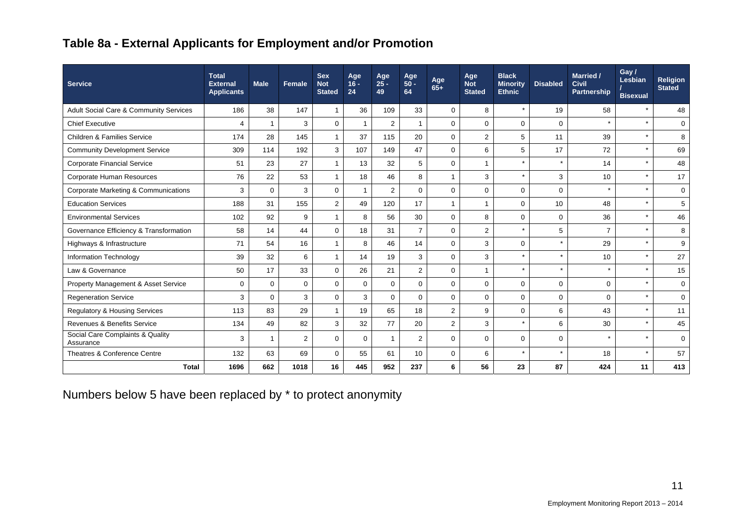## **Table 8a - External Applicants for Employment and/or Promotion**

| <b>Service</b>                                    | <b>Total</b><br><b>External</b><br><b>Applicants</b> | <b>Male</b> | <b>Female</b> | <b>Sex</b><br><b>Not</b><br><b>Stated</b> | Age<br>$16 -$<br>24 | Age<br>$25 -$<br>49 | Age<br>$50 -$<br>64 | Age<br>$65+$   | Age<br><b>Not</b><br><b>Stated</b> | <b>Black</b><br><b>Minority</b><br><b>Ethnic</b> | <b>Disabled</b> | Married /<br><b>Civil</b><br>Partnership | Gay /<br>Lesbian<br><b>Bisexual</b> | <b>Religion</b><br><b>Stated</b> |
|---------------------------------------------------|------------------------------------------------------|-------------|---------------|-------------------------------------------|---------------------|---------------------|---------------------|----------------|------------------------------------|--------------------------------------------------|-----------------|------------------------------------------|-------------------------------------|----------------------------------|
| <b>Adult Social Care &amp; Community Services</b> | 186                                                  | 38          | 147           | $\mathbf{1}$                              | 36                  | 109                 | 33                  | $\mathbf 0$    | 8                                  |                                                  | 19              | 58                                       | $\star$                             | 48                               |
| <b>Chief Executive</b>                            | 4                                                    |             | 3             | $\mathbf 0$                               | 1                   | $\overline{2}$      | 1                   | $\mathbf 0$    | $\mathbf 0$                        | $\mathbf 0$                                      | $\mathbf 0$     |                                          | $\star$                             | $\mathbf 0$                      |
| <b>Children &amp; Families Service</b>            | 174                                                  | 28          | 145           | $\mathbf{1}$                              | 37                  | 115                 | 20                  | $\mathbf 0$    | 2                                  | 5                                                | 11              | 39                                       | $\star$                             | 8                                |
| <b>Community Development Service</b>              | 309                                                  | 114         | 192           | 3                                         | 107                 | 149                 | 47                  | $\mathbf 0$    | 6                                  | 5                                                | 17              | 72                                       | $\star$                             | 69                               |
| <b>Corporate Financial Service</b>                | 51                                                   | 23          | 27            | $\mathbf{1}$                              | 13                  | 32                  | 5                   | $\mathbf 0$    | $\overline{1}$                     | $\star$                                          | $\star$         | 14                                       | $\star$                             | 48                               |
| Corporate Human Resources                         | 76                                                   | 22          | 53            | $\mathbf{1}$                              | 18                  | 46                  | 8                   | 1              | 3                                  |                                                  | 3               | 10                                       | $\star$                             | 17                               |
| Corporate Marketing & Communications              | 3                                                    | $\mathbf 0$ | 3             | $\mathbf 0$                               | 1                   | $\overline{2}$      | $\mathbf 0$         | $\mathbf 0$    | $\mathbf 0$                        | $\mathbf 0$                                      | $\mathbf 0$     |                                          | $\star$                             | $\mathbf 0$                      |
| <b>Education Services</b>                         | 188                                                  | 31          | 155           | $\overline{2}$                            | 49                  | 120                 | 17                  | $\overline{1}$ | $\overline{1}$                     | $\Omega$                                         | 10              | 48                                       | $\star$                             | 5                                |
| <b>Environmental Services</b>                     | 102                                                  | 92          | 9             | $\mathbf{1}$                              | 8                   | 56                  | 30                  | $\mathbf 0$    | 8                                  | $\Omega$                                         | $\mathbf 0$     | 36                                       | $\star$                             | 46                               |
| Governance Efficiency & Transformation            | 58                                                   | 14          | 44            | $\mathbf 0$                               | 18                  | 31                  | $\overline{7}$      | $\mathbf 0$    | $\overline{2}$                     | $\star$                                          | 5               | $\overline{7}$                           | $\star$                             | 8                                |
| Highways & Infrastructure                         | 71                                                   | 54          | 16            | $\mathbf{1}$                              | 8                   | 46                  | 14                  | $\mathbf 0$    | 3                                  | $\mathbf 0$                                      | $\star$         | 29                                       | $\star$                             | 9                                |
| Information Technology                            | 39                                                   | 32          | 6             | $\mathbf{1}$                              | 14                  | 19                  | 3                   | 0              | 3                                  |                                                  | $\star$         | 10                                       | $\star$                             | 27                               |
| Law & Governance                                  | 50                                                   | 17          | 33            | $\mathbf 0$                               | 26                  | 21                  | $\overline{2}$      | $\mathbf 0$    | $\mathbf{1}$                       | $\star$                                          | $\star$         |                                          | $\star$                             | 15                               |
| Property Management & Asset Service               | $\mathbf 0$                                          | $\Omega$    | $\Omega$      | $\Omega$                                  | $\Omega$            | $\Omega$            | $\mathbf 0$         | $\mathbf 0$    | $\mathbf 0$                        | $\Omega$                                         | $\mathbf 0$     | $\Omega$                                 | $\star$                             | $\mathbf 0$                      |
| <b>Regeneration Service</b>                       | 3                                                    | $\Omega$    | 3             | $\mathbf 0$                               | 3                   | $\mathbf 0$         | $\mathbf 0$         | $\mathbf 0$    | $\mathbf 0$                        | $\Omega$                                         | $\mathbf 0$     | $\Omega$                                 | $\star$                             | $\mathbf 0$                      |
| <b>Regulatory &amp; Housing Services</b>          | 113                                                  | 83          | 29            | $\mathbf{1}$                              | 19                  | 65                  | 18                  | $\overline{c}$ | 9                                  | $\Omega$                                         | 6               | 43                                       | $\star$                             | 11                               |
| Revenues & Benefits Service                       | 134                                                  | 49          | 82            | 3                                         | 32                  | 77                  | 20                  | 2              | 3                                  | $\star$                                          | 6               | 30                                       | $\star$                             | 45                               |
| Social Care Complaints & Quality<br>Assurance     | 3                                                    |             | 2             | $\mathbf 0$                               | $\Omega$            | 1                   | 2                   | $\mathbf 0$    | $\mathbf 0$                        | $\Omega$                                         | $\Omega$        | $\star$                                  | $\star$                             | $\Omega$                         |
| Theatres & Conference Centre                      | 132                                                  | 63          | 69            | $\mathbf 0$                               | 55                  | 61                  | 10                  | $\mathbf 0$    | 6                                  | $\star$                                          | $\star$         | 18                                       | $\star$                             | 57                               |
| <b>Total</b>                                      | 1696                                                 | 662         | 1018          | 16                                        | 445                 | 952                 | 237                 | 6              | 56                                 | 23                                               | 87              | 424                                      | 11                                  | 413                              |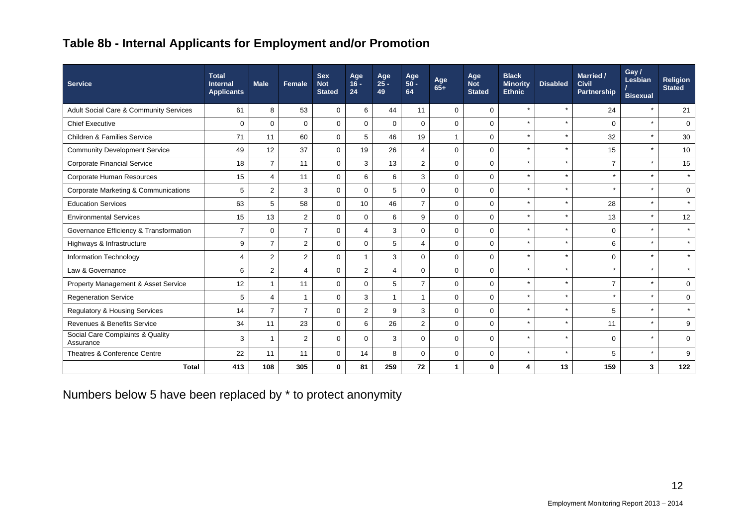## **Table 8b - Internal Applicants for Employment and/or Promotion**

| <b>Service</b>                                  | <b>Total</b><br><b>Internal</b><br><b>Applicants</b> | <b>Male</b>    | Female         | <b>Sex</b><br><b>Not</b><br><b>Stated</b> | Age<br>$16 -$<br>24 | Age<br>$25 -$<br>49 | Age<br>$50 -$<br>64 | Age<br>$65+$ | Age<br><b>Not</b><br><b>Stated</b> | <b>Black</b><br><b>Minority</b><br><b>Ethnic</b> | <b>Disabled</b> | <b>Married /</b><br><b>Civil</b><br>Partnership | Gay /<br>Lesbian<br><b>Bisexual</b> | Religion<br><b>Stated</b> |
|-------------------------------------------------|------------------------------------------------------|----------------|----------------|-------------------------------------------|---------------------|---------------------|---------------------|--------------|------------------------------------|--------------------------------------------------|-----------------|-------------------------------------------------|-------------------------------------|---------------------------|
| Adult Social Care & Community Services          | 61                                                   | 8              | 53             | $\mathbf 0$                               | 6                   | 44                  | 11                  | $\mathbf 0$  | $\Omega$                           | $\star$                                          |                 | 24                                              | $\star$                             | 21                        |
| <b>Chief Executive</b>                          | $\mathbf 0$                                          | $\mathbf 0$    | $\mathbf 0$    | $\mathbf 0$                               | $\mathbf 0$         | $\mathbf 0$         | $\mathbf 0$         | $\mathbf 0$  | $\mathbf 0$                        |                                                  |                 | $\mathbf 0$                                     | $\star$                             | $\mathbf 0$               |
| <b>Children &amp; Families Service</b>          | 71                                                   | 11             | 60             | $\mathbf 0$                               | 5                   | 46                  | 19                  | $\mathbf{1}$ | $\Omega$                           | $\star$                                          |                 | 32                                              | $\star$                             | 30                        |
| <b>Community Development Service</b>            | 49                                                   | 12             | 37             | $\mathbf 0$                               | 19                  | 26                  | $\overline{4}$      | $\mathbf 0$  | $\mathbf 0$                        |                                                  |                 | 15                                              | $\star$                             | 10                        |
| <b>Corporate Financial Service</b>              | 18                                                   | $\overline{7}$ | 11             | $\mathbf 0$                               | 3                   | 13                  | $\overline{2}$      | $\mathbf 0$  | $\Omega$                           | $\star$                                          |                 | $\overline{7}$                                  | $\star$                             | 15                        |
| Corporate Human Resources                       | 15                                                   | 4              | 11             | $\mathbf 0$                               | 6                   | 6                   | 3                   | $\mathbf 0$  | $\Omega$                           | $\star$                                          |                 | $\star$                                         | $\star$                             | $\star$                   |
| <b>Corporate Marketing &amp; Communications</b> | 5                                                    | $\overline{2}$ | 3              | $\mathbf 0$                               | $\Omega$            | 5                   | $\mathbf 0$         | $\mathbf 0$  | $\Omega$                           |                                                  |                 |                                                 | $\star$                             | 0                         |
| <b>Education Services</b>                       | 63                                                   | 5              | 58             | $\Omega$                                  | 10                  | 46                  | $\overline{7}$      | $\mathbf 0$  | $\Omega$                           |                                                  |                 | 28                                              | $\star$                             | $\star$                   |
| <b>Environmental Services</b>                   | 15                                                   | 13             | $\overline{2}$ | $\mathbf 0$                               | $\mathbf 0$         | 6                   | 9                   | $\mathbf 0$  | $\mathbf 0$                        |                                                  |                 | 13                                              | $\star$                             | 12                        |
| Governance Efficiency & Transformation          | $\overline{7}$                                       | $\Omega$       | $\overline{7}$ | $\mathbf 0$                               | 4                   | 3                   | $\Omega$            | $\mathbf 0$  | $\Omega$                           |                                                  |                 | $\Omega$                                        | $\star$                             | $\star$                   |
| Highways & Infrastructure                       | 9                                                    | $\overline{7}$ | $\overline{2}$ | $\mathbf 0$                               | $\Omega$            | 5                   | $\overline{4}$      | $\mathbf 0$  | $\Omega$                           |                                                  |                 | 6                                               | $\star$                             | $\star$                   |
| Information Technology                          | 4                                                    | $\overline{2}$ | $\overline{2}$ | $\mathbf 0$                               | $\mathbf 1$         | 3                   | $\mathbf 0$         | $\mathbf 0$  | $\Omega$                           |                                                  |                 | $\Omega$                                        | $\star$                             | $\star$                   |
| Law & Governance                                | 6                                                    | $\overline{2}$ | 4              | $\mathbf 0$                               | $\overline{2}$      | 4                   | $\mathbf 0$         | $\mathbf 0$  | $\Omega$                           |                                                  |                 |                                                 | $\star$                             | $\star$                   |
| Property Management & Asset Service             | 12                                                   | 1              | 11             | $\Omega$                                  | $\Omega$            | 5                   | $\overline{7}$      | $\mathbf 0$  | $\Omega$                           | $\star$                                          |                 | $\overline{7}$                                  | $\star$                             | $\mathbf 0$               |
| <b>Regeneration Service</b>                     | 5                                                    | 4              | $\overline{1}$ | $\mathbf 0$                               | 3                   | $\mathbf{1}$        | $\overline{1}$      | $\mathbf 0$  | $\Omega$                           | $\star$                                          |                 | $\star$                                         | $\star$                             | $\mathbf 0$               |
| <b>Regulatory &amp; Housing Services</b>        | 14                                                   | $\overline{7}$ | $\overline{7}$ | $\mathbf 0$                               | 2                   | 9                   | 3                   | $\mathbf 0$  | $\Omega$                           |                                                  |                 | 5                                               | $\star$                             | $\star$                   |
| Revenues & Benefits Service                     | 34                                                   | 11             | 23             | $\mathbf 0$                               | 6                   | 26                  | $\overline{2}$      | $\mathbf 0$  | $\Omega$                           |                                                  |                 | 11                                              | $\star$                             | 9                         |
| Social Care Complaints & Quality<br>Assurance   | 3                                                    | 1              | $\overline{2}$ | $\mathbf 0$                               | $\Omega$            | 3                   | $\Omega$            | $\mathbf 0$  | $\Omega$                           | $\star$                                          | $\star$         | $\Omega$                                        | $\star$                             | $\mathbf 0$               |
| Theatres & Conference Centre                    | 22                                                   | 11             | 11             | $\mathbf 0$                               | 14                  | 8                   | $\mathbf 0$         | $\mathbf 0$  | $\Omega$                           |                                                  |                 | 5                                               | $\star$                             | 9                         |
| <b>Total</b>                                    | 413                                                  | 108            | 305            | $\mathbf 0$                               | 81                  | 259                 | 72                  | $\mathbf{1}$ | $\mathbf{0}$                       | 4                                                | 13              | 159                                             | 3                                   | 122                       |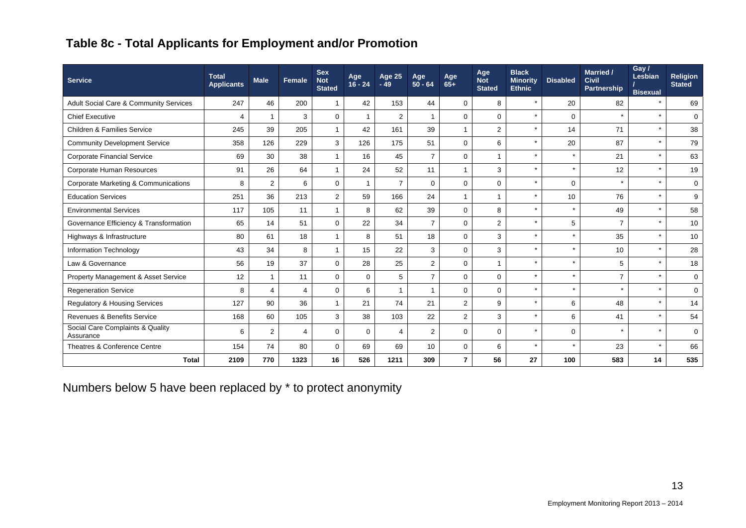## **Table 8c - Total Applicants for Employment and/or Promotion**

| <b>Service</b>                                    | <b>Total</b><br><b>Applicants</b> | <b>Male</b>    | Female         | <b>Sex</b><br><b>Not</b><br><b>Stated</b> | Age<br>$16 - 24$ | <b>Age 25</b><br>$-49$ | Age<br>$50 - 64$     | Age<br>65+     | Age<br><b>Not</b><br><b>Stated</b> | <b>Black</b><br><b>Minority</b><br><b>Ethnic</b> | <b>Disabled</b> | <b>Married /</b><br><b>Civil</b><br>Partnership | Gay /<br>Lesbian<br><b>Bisexual</b> | <b>Religion</b><br><b>Stated</b> |
|---------------------------------------------------|-----------------------------------|----------------|----------------|-------------------------------------------|------------------|------------------------|----------------------|----------------|------------------------------------|--------------------------------------------------|-----------------|-------------------------------------------------|-------------------------------------|----------------------------------|
| <b>Adult Social Care &amp; Community Services</b> | 247                               | 46             | 200            | $\mathbf{1}$                              | 42               | 153                    | 44                   | 0              | 8                                  | $\star$                                          | 20              | 82                                              | $\star$                             | 69                               |
| <b>Chief Executive</b>                            | 4                                 | $\mathbf{1}$   | 3              | $\mathbf 0$                               |                  | $\overline{2}$         | $\blacktriangleleft$ | $\Omega$       | $\Omega$                           | $\star$                                          | $\Omega$        | $\star$                                         | $\star$                             | $\Omega$                         |
| <b>Children &amp; Families Service</b>            | 245                               | 39             | 205            | $\mathbf{1}$                              | 42               | 161                    | 39                   | 1              | $\overline{2}$                     |                                                  | 14              | 71                                              | $\star$                             | 38                               |
| <b>Community Development Service</b>              | 358                               | 126            | 229            | 3                                         | 126              | 175                    | 51                   | 0              | 6                                  | $\star$                                          | 20              | 87                                              | $\star$                             | 79                               |
| <b>Corporate Financial Service</b>                | 69                                | 30             | 38             | $\mathbf{1}$                              | 16               | 45                     | $\overline{7}$       | $\Omega$       |                                    | $\star$                                          |                 | 21                                              | $\star$                             | 63                               |
| Corporate Human Resources                         | 91                                | 26             | 64             | $\mathbf{1}$                              | 24               | 52                     | 11                   | 1              | 3                                  | $\star$                                          |                 | 12                                              | $\star$                             | 19                               |
| Corporate Marketing & Communications              | 8                                 | $\overline{2}$ | 6              | $\mathbf 0$                               |                  | $\overline{7}$         | $\Omega$             | $\Omega$       | $\Omega$                           | $\star$                                          | $\Omega$        | $\star$                                         | $\star$                             | $\mathbf 0$                      |
| <b>Education Services</b>                         | 251                               | 36             | 213            | $\overline{2}$                            | 59               | 166                    | 24                   | $\mathbf{1}$   | 1                                  | $\star$                                          | 10              | 76                                              | $\star$                             | 9                                |
| <b>Environmental Services</b>                     | 117                               | 105            | 11             | $\mathbf{1}$                              | 8                | 62                     | 39                   | $\mathbf 0$    | 8                                  | $\star$                                          |                 | 49                                              | $\star$                             | 58                               |
| Governance Efficiency & Transformation            | 65                                | 14             | 51             | $\mathbf 0$                               | 22               | 34                     | $\overline{7}$       | $\Omega$       | 2                                  | $\star$                                          | 5               | $\overline{7}$                                  | $\star$                             | 10                               |
| Highways & Infrastructure                         | 80                                | 61             | 18             | $\mathbf{1}$                              | 8                | 51                     | 18                   | $\mathbf 0$    | 3                                  | $\star$                                          |                 | 35                                              | $\star$                             | 10                               |
| Information Technology                            | 43                                | 34             | 8              | $\mathbf{1}$                              | 15               | 22                     | 3                    | $\Omega$       | 3                                  | $\star$                                          | ÷               | 10                                              | $\star$                             | 28                               |
| Law & Governance                                  | 56                                | 19             | 37             | $\mathbf 0$                               | 28               | 25                     | $\overline{2}$       | $\mathbf 0$    |                                    | $\star$                                          |                 | 5                                               | $\star$                             | 18                               |
| Property Management & Asset Service               | 12                                | $\mathbf{1}$   | 11             | $\mathbf 0$                               | $\mathbf 0$      | 5                      | $\overline{7}$       | 0              | $\Omega$                           | $\star$                                          |                 | $\overline{7}$                                  | $\star$                             | $\mathbf 0$                      |
| <b>Regeneration Service</b>                       | 8                                 | $\overline{4}$ | $\overline{4}$ | $\mathbf 0$                               | 6                | $\overline{1}$         | $\mathbf 1$          | $\mathbf 0$    | 0                                  | $\star$                                          |                 | $\star$                                         | $\star$                             | $\mathbf 0$                      |
| <b>Regulatory &amp; Housing Services</b>          | 127                               | 90             | 36             | $\mathbf{1}$                              | 21               | 74                     | 21                   | $\overline{2}$ | 9                                  | $\star$                                          | 6               | 48                                              | $\star$                             | 14                               |
| Revenues & Benefits Service                       | 168                               | 60             | 105            | 3                                         | 38               | 103                    | 22                   | $\overline{2}$ | 3                                  | $\star$                                          | 6               | 41                                              | $\star$                             | 54                               |
| Social Care Complaints & Quality<br>Assurance     | 6                                 | $\overline{2}$ | $\overline{4}$ | $\mathbf 0$                               | $\Omega$         | 4                      | 2                    | $\mathbf 0$    | $\mathbf 0$                        | $\star$                                          | $\mathbf 0$     | $\star$                                         | $\star$                             | $\mathbf 0$                      |
| Theatres & Conference Centre                      | 154                               | 74             | 80             | $\mathbf 0$                               | 69               | 69                     | 10                   | $\mathbf 0$    | 6                                  | $\star$                                          |                 | 23                                              | $\star$                             | 66                               |
| <b>Total</b>                                      | 2109                              | 770            | 1323           | 16                                        | 526              | 1211                   | 309                  | $\overline{7}$ | 56                                 | 27                                               | 100             | 583                                             | 14                                  | 535                              |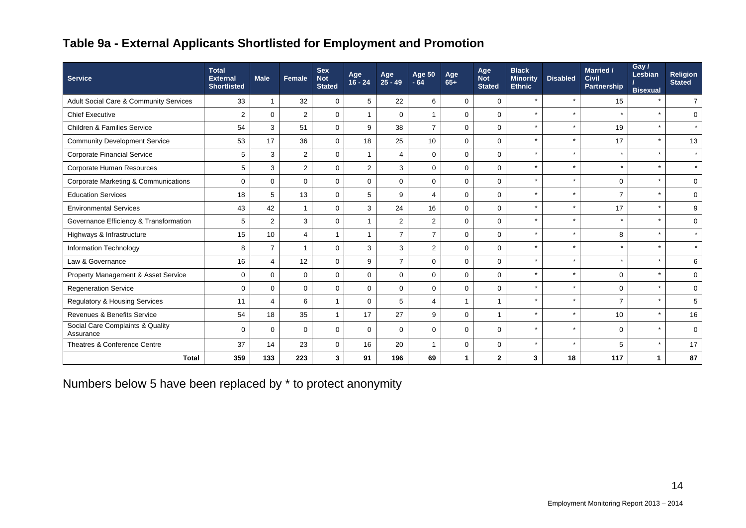## **Table 9a - External Applicants Shortlisted for Employment and Promotion**

| <b>Service</b>                                | <b>Total</b><br><b>External</b><br><b>Shortlisted</b> | <b>Male</b>    | Female         | <b>Sex</b><br><b>Not</b><br><b>Stated</b> | Age<br>$16 - 24$ | Age<br>25 - 49 | <b>Age 50</b><br>$-64$   | Age<br>$65+$ | Age<br><b>Not</b><br><b>Stated</b> | <b>Black</b><br><b>Minority</b><br><b>Ethnic</b> | <b>Disabled</b> | Married /<br><b>Civil</b><br>Partnership | Gay/<br>Lesbian<br><b>Bisexual</b> | <b>Religion</b><br><b>Stated</b> |
|-----------------------------------------------|-------------------------------------------------------|----------------|----------------|-------------------------------------------|------------------|----------------|--------------------------|--------------|------------------------------------|--------------------------------------------------|-----------------|------------------------------------------|------------------------------------|----------------------------------|
| Adult Social Care & Community Services        | 33                                                    | 1              | 32             | $\mathbf 0$                               | 5                | 22             | 6                        | $\mathbf 0$  | $\mathbf 0$                        | $\star$                                          | $\star$         | 15                                       | $\star$                            | $\overline{7}$                   |
| <b>Chief Executive</b>                        | 2                                                     | $\Omega$       | $\overline{2}$ | $\mathbf 0$                               |                  | $\Omega$       |                          | $\Omega$     | $\Omega$                           | $\star$                                          | $\star$         | $\star$                                  | $\star$                            | $\Omega$                         |
| <b>Children &amp; Families Service</b>        | 54                                                    | 3              | 51             | $\Omega$                                  | 9                | 38             | $\overline{7}$           | $\Omega$     | $\Omega$                           | $\star$                                          |                 | 19                                       |                                    | $\star$                          |
| <b>Community Development Service</b>          | 53                                                    | 17             | 36             | $\mathbf 0$                               | 18               | 25             | 10                       | $\mathbf 0$  | $\mathbf 0$                        | $\star$                                          | $\star$         | 17                                       | $\star$                            | 13                               |
| <b>Corporate Financial Service</b>            | 5                                                     | 3              | 2              | $\mathbf{0}$                              |                  | 4              | $\Omega$                 | $\Omega$     | $\Omega$                           | $\star$                                          | $\star$         | $\star$                                  | $\star$                            | $\star$                          |
| Corporate Human Resources                     | 5                                                     | 3              | $\overline{2}$ | $\mathbf 0$                               | $\mathbf{2}$     | 3              | $\mathbf 0$              | $\mathbf 0$  | $\mathbf 0$                        | $\star$                                          |                 | $\star$                                  | $\star$                            | $\star$                          |
| Corporate Marketing & Communications          | $\Omega$                                              | $\mathbf 0$    | $\mathbf{0}$   | $\Omega$                                  | $\Omega$         | $\Omega$       | $\Omega$                 | $\Omega$     | $\Omega$                           | $\star$                                          | $\star$         | $\Omega$                                 | $\star$                            | $\mathbf 0$                      |
| <b>Education Services</b>                     | 18                                                    | 5              | 13             | $\mathbf 0$                               | 5                | 9              | $\overline{\mathcal{A}}$ | $\Omega$     | $\Omega$                           | $\star$                                          |                 | $\overline{7}$                           | $\star$                            | $\mathbf 0$                      |
| <b>Environmental Services</b>                 | 43                                                    | 42             | $\overline{1}$ | $\mathbf 0$                               | 3                | 24             | 16                       | $\mathbf 0$  | $\mathbf 0$                        | $\star$                                          |                 | 17                                       |                                    | 9                                |
| Governance Efficiency & Transformation        | 5                                                     | $\overline{2}$ | 3              | $\mathbf 0$                               |                  | $\overline{2}$ | $\overline{2}$           | $\mathbf 0$  | $\mathbf 0$                        | $\star$                                          |                 |                                          | $\star$                            | $\mathbf 0$                      |
| Highways & Infrastructure                     | 15                                                    | 10             | $\overline{4}$ | $\mathbf{1}$                              |                  | $\overline{7}$ | $\overline{7}$           | $\Omega$     | $\mathbf 0$                        | $\star$                                          |                 | 8                                        | $\star$                            | $\star$                          |
| <b>Information Technology</b>                 | 8                                                     | $\overline{7}$ | $\overline{1}$ | $\mathbf 0$                               | 3                | 3              | 2                        | $\mathbf 0$  | $\Omega$                           | $\star$                                          | $\star$         | $\star$                                  | $\star$                            | $\star$                          |
| Law & Governance                              | 16                                                    | $\overline{4}$ | 12             | $\mathbf 0$                               | 9                | $\overline{7}$ | $\Omega$                 | $\mathbf 0$  | $\mathbf 0$                        | $\star$                                          |                 | $\star$                                  | $\star$                            | 6                                |
| Property Management & Asset Service           | $\mathbf 0$                                           | $\mathbf 0$    | $\mathbf 0$    | $\mathbf 0$                               | $\Omega$         | $\Omega$       | $\Omega$                 | $\mathbf 0$  | $\Omega$                           | $\star$                                          |                 | $\Omega$                                 | $\star$                            | $\mathbf 0$                      |
| <b>Regeneration Service</b>                   | $\mathbf 0$                                           | $\mathbf 0$    | $\mathbf{0}$   | $\mathbf{0}$                              | $\mathbf 0$      | $\mathbf 0$    | $\mathbf 0$              | $\mathbf 0$  | $\mathbf 0$                        | $\star$                                          |                 | $\Omega$                                 | $\star$                            | $\mathbf 0$                      |
| <b>Regulatory &amp; Housing Services</b>      | 11                                                    | $\overline{4}$ | 6              | $\overline{1}$                            | $\Omega$         | 5              | $\overline{4}$           |              |                                    | $\star$                                          |                 | $\overline{7}$                           |                                    | 5                                |
| Revenues & Benefits Service                   | 54                                                    | 18             | 35             | $\mathbf{1}$                              | 17               | 27             | 9                        | $\mathbf 0$  | 1                                  | $\star$                                          |                 | 10                                       |                                    | 16                               |
| Social Care Complaints & Quality<br>Assurance | $\mathbf 0$                                           | $\mathbf 0$    | $\mathbf 0$    | $\mathbf 0$                               | $\Omega$         | $\Omega$       | $\Omega$                 | $\Omega$     | $\Omega$                           | $\star$                                          | $\star$         | $\Omega$                                 | $\star$                            | $\mathbf 0$                      |
| Theatres & Conference Centre                  | 37                                                    | 14             | 23             | $\mathbf 0$                               | 16               | 20             | $\mathbf{1}$             | $\mathbf 0$  | $\mathbf 0$                        | $\star$                                          | $\star$         | 5                                        | $\star$                            | 17                               |
| <b>Total</b>                                  | 359                                                   | 133            | 223            | 3                                         | 91               | 196            | 69                       |              | $\mathbf{2}$                       | 3                                                | 18              | 117                                      | 1                                  | 87                               |

Numbers below 5 have been replaced by \* to protect anonymity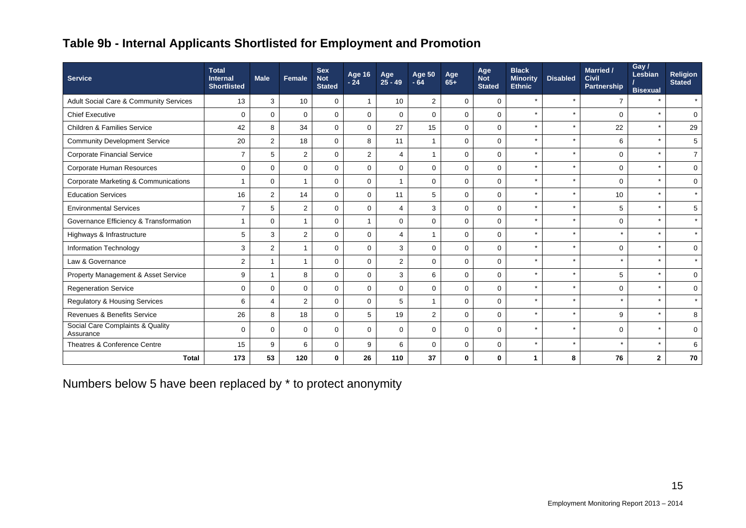## **Table 9b - Internal Applicants Shortlisted for Employment and Promotion**

| <b>Service</b>                                | <b>Total</b><br><b>Internal</b><br><b>Shortlisted</b> | <b>Male</b>    | Female         | <b>Sex</b><br><b>Not</b><br><b>Stated</b> | Age 16<br>$-24$ | Age<br>$25 - 49$ | Age 50<br>$-64$ | Age<br>$65+$ | Age<br><b>Not</b><br><b>Stated</b> | <b>Black</b><br><b>Minority</b><br><b>Ethnic</b> | <b>Disabled</b> | <b>Married /</b><br><b>Civil</b><br>Partnership | Gay /<br>Lesbian<br><b>Bisexual</b> | <b>Religion</b><br><b>Stated</b> |
|-----------------------------------------------|-------------------------------------------------------|----------------|----------------|-------------------------------------------|-----------------|------------------|-----------------|--------------|------------------------------------|--------------------------------------------------|-----------------|-------------------------------------------------|-------------------------------------|----------------------------------|
| Adult Social Care & Community Services        | 13                                                    | 3              | 10             | $\mathbf 0$                               |                 | 10               | 2               | $\mathbf 0$  | $\mathbf 0$                        | $\star$                                          |                 |                                                 |                                     | $\star$                          |
| <b>Chief Executive</b>                        | $\mathbf 0$                                           | $\Omega$       | $\mathbf{0}$   | $\Omega$                                  | $\Omega$        | $\Omega$         | $\Omega$        | $\Omega$     | $\Omega$                           | $\star$                                          |                 | $\Omega$                                        |                                     | $\Omega$                         |
| <b>Children &amp; Families Service</b>        | 42                                                    | 8              | 34             | $\mathbf 0$                               | $\mathbf 0$     | 27               | 15              | $\mathbf 0$  | $\mathbf 0$                        | $\star$                                          |                 | 22                                              |                                     | 29                               |
| <b>Community Development Service</b>          | 20                                                    | $\overline{2}$ | 18             | $\mathbf 0$                               | 8               | 11               | $\overline{1}$  | $\mathbf 0$  | $\mathbf 0$                        | $\star$                                          | $\star$         | 6                                               | $\star$                             | 5                                |
| <b>Corporate Financial Service</b>            | $\overline{7}$                                        | 5              | 2              | $\mathbf 0$                               | 2               | 4                |                 | $\Omega$     | $\Omega$                           | $\star$                                          |                 | $\Omega$                                        | $\star$                             | $\overline{7}$                   |
| Corporate Human Resources                     | $\mathbf 0$                                           | $\mathbf 0$    | $\mathbf 0$    | $\mathbf 0$                               | $\mathbf 0$     | $\mathbf 0$      | $\mathbf 0$     | $\mathbf 0$  | $\mathbf 0$                        | $\star$                                          |                 | $\mathbf 0$                                     | $\star$                             | $\mathbf 0$                      |
| Corporate Marketing & Communications          | $\overline{1}$                                        | $\mathbf 0$    | $\overline{1}$ | $\Omega$                                  | $\mathbf 0$     | 1                | $\Omega$        | $\mathbf 0$  | $\Omega$                           | $\star$                                          | $\star$         | $\Omega$                                        | $\star$                             | $\mathbf 0$                      |
| <b>Education Services</b>                     | 16                                                    | $\overline{2}$ | 14             | $\mathbf 0$                               | $\mathbf 0$     | 11               | 5               | $\Omega$     | $\Omega$                           | $\star$                                          |                 | 10                                              | $\star$                             | $\star$                          |
| <b>Environmental Services</b>                 | $\overline{7}$                                        | 5              | 2              | $\mathbf 0$                               | $\Omega$        | $\overline{4}$   | 3               | $\mathbf 0$  | $\mathbf 0$                        | $\star$                                          |                 | 5                                               |                                     | 5                                |
| Governance Efficiency & Transformation        | 1                                                     | $\mathbf 0$    | $\overline{1}$ | $\mathbf 0$                               |                 | $\mathbf 0$      | $\mathbf 0$     | $\mathbf 0$  | $\mathbf 0$                        | $\star$                                          |                 | 0                                               | $\star$                             | $\star$                          |
| Highways & Infrastructure                     | 5                                                     | 3              | $\overline{2}$ | $\mathbf 0$                               | $\mathbf 0$     | 4                |                 | $\Omega$     | $\mathbf 0$                        | $\star$                                          |                 | $\star$                                         | $\star$                             | $\star$                          |
| <b>Information Technology</b>                 | 3                                                     | $\overline{2}$ | $\overline{1}$ | $\Omega$                                  | $\Omega$        | 3                | $\Omega$        | $\Omega$     | $\Omega$                           | $\star$                                          | $\star$         | $\Omega$                                        | $\star$                             | $\mathbf 0$                      |
| Law & Governance                              | 2                                                     |                | $\mathbf{1}$   | $\mathbf 0$                               | $\mathbf 0$     | $\overline{2}$   | $\Omega$        | $\Omega$     | $\Omega$                           | $\star$                                          |                 |                                                 | $\star$                             |                                  |
| Property Management & Asset Service           | 9                                                     | f              | 8              | $\mathbf 0$                               | $\mathbf 0$     | 3                | 6               | $\mathbf 0$  | $\mathbf 0$                        | $\star$                                          |                 | 5                                               | $\star$                             | $\Omega$                         |
| <b>Regeneration Service</b>                   | $\mathbf{0}$                                          | $\mathbf 0$    | $\mathbf{0}$   | $\mathbf 0$                               | $\Omega$        | $\mathbf 0$      | $\Omega$        | $\Omega$     | $\Omega$                           | $\star$                                          |                 | $\Omega$                                        | $\star$                             | $\mathbf 0$                      |
| <b>Regulatory &amp; Housing Services</b>      | 6                                                     | $\overline{4}$ | 2              | $\Omega$                                  | $\Omega$        | 5                |                 | $\Omega$     | $\Omega$                           | $\star$                                          |                 |                                                 | $\star$                             |                                  |
| Revenues & Benefits Service                   | 26                                                    | 8              | 18             | $\mathbf 0$                               | 5               | 19               | 2               | $\mathbf 0$  | $\Omega$                           | $\star$                                          |                 | 9                                               |                                     | 8                                |
| Social Care Complaints & Quality<br>Assurance | $\mathbf 0$                                           | $\mathbf 0$    | $\mathbf 0$    | $\Omega$                                  | $\Omega$        | $\Omega$         | $\Omega$        | $\Omega$     | $\Omega$                           | $\star$                                          | $\star$         | $\Omega$                                        | $\star$                             | $\mathbf 0$                      |
| Theatres & Conference Centre                  | 15                                                    | 9              | 6              | 0                                         | 9               | 6                | $\mathbf 0$     | $\mathbf 0$  | $\mathbf 0$                        | $\star$                                          |                 | $\star$                                         | $\star$                             | 6                                |
| <b>Total</b>                                  | 173                                                   | 53             | 120            | 0                                         | 26              | 110              | 37              | 0            | 0                                  | 1                                                | 8               | 76                                              | $\mathbf{2}$                        | 70                               |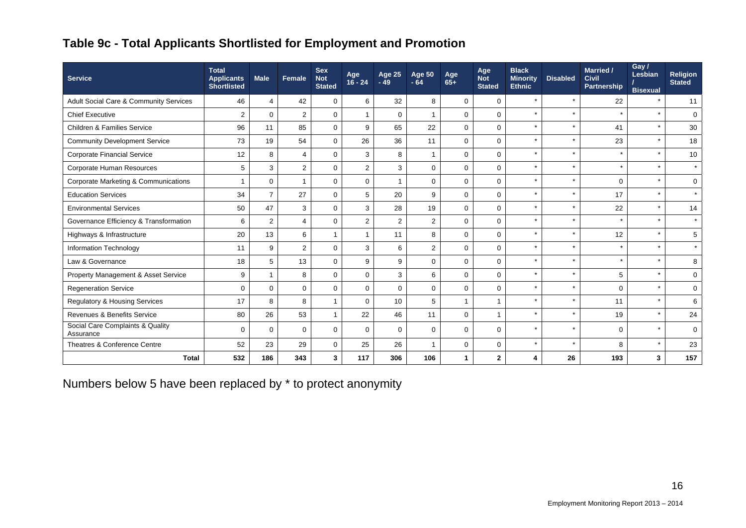## **Table 9c - Total Applicants Shortlisted for Employment and Promotion**

| <b>Service</b>                                | <b>Total</b><br><b>Applicants</b><br><b>Shortlisted</b> | <b>Male</b>    | <b>Female</b>  | <b>Sex</b><br><b>Not</b><br><b>Stated</b> | Age<br>$16 - 24$ | Age 25<br>$-49$ | <b>Age 50</b><br>$-64$ | Age<br>$65+$ | Age<br><b>Not</b><br><b>Stated</b> | <b>Black</b><br><b>Minority</b><br><b>Ethnic</b> | <b>Disabled</b> | <b>Married /</b><br><b>Civil</b><br>Partnership | Gay /<br>Lesbian<br><b>Bisexual</b> | <b>Religion</b><br><b>Stated</b> |
|-----------------------------------------------|---------------------------------------------------------|----------------|----------------|-------------------------------------------|------------------|-----------------|------------------------|--------------|------------------------------------|--------------------------------------------------|-----------------|-------------------------------------------------|-------------------------------------|----------------------------------|
| Adult Social Care & Community Services        | 46                                                      | $\overline{4}$ | 42             | $\Omega$                                  | 6                | 32              | 8                      | $\mathbf 0$  | $\mathbf 0$                        | $\star$                                          |                 | 22                                              |                                     | 11                               |
| <b>Chief Executive</b>                        | $\overline{2}$                                          | $\mathbf 0$    | $\overline{2}$ | $\mathbf 0$                               | $\overline{1}$   | $\mathbf 0$     |                        | $\mathbf 0$  | $\mathbf 0$                        | $\star$                                          | $\star$         | $\star$                                         | $\star$                             | $\mathbf 0$                      |
| <b>Children &amp; Families Service</b>        | 96                                                      | 11             | 85             | $\mathbf 0$                               | 9                | 65              | 22                     | $\mathbf 0$  | $\Omega$                           | $\star$                                          |                 | 41                                              | $\star$                             | 30                               |
| <b>Community Development Service</b>          | 73                                                      | 19             | 54             | $\mathbf 0$                               | 26               | 36              | 11                     | $\mathbf 0$  | $\mathbf 0$                        | $\star$                                          |                 | 23                                              | $\star$                             | 18                               |
| <b>Corporate Financial Service</b>            | 12                                                      | 8              | $\overline{4}$ | $\mathbf 0$                               | 3                | 8               | 1                      | $\Omega$     | $\Omega$                           | $\star$                                          |                 | $\star$                                         | $\star$                             | 10                               |
| Corporate Human Resources                     | 5                                                       | 3              | $\overline{c}$ | $\mathbf 0$                               | 2                | 3               | $\mathbf 0$            | $\mathbf 0$  | $\mathbf 0$                        | $\star$                                          | $\star$         | $\star$                                         | $\star$                             | $\star$                          |
| Corporate Marketing & Communications          | 1                                                       | $\mathbf 0$    | $\mathbf{1}$   | $\Omega$                                  | $\Omega$         |                 | $\Omega$               | $\Omega$     | $\Omega$                           | $\star$                                          |                 | $\Omega$                                        | $\star$                             | $\mathbf 0$                      |
| <b>Education Services</b>                     | 34                                                      | $\overline{7}$ | 27             | $\Omega$                                  | 5                | 20              | 9                      | $\Omega$     | $\Omega$                           | $\star$                                          |                 | 17                                              | $\star$                             | $\star$                          |
| <b>Environmental Services</b>                 | 50                                                      | 47             | 3              | $\mathbf 0$                               | 3                | 28              | 19                     | $\mathbf 0$  | $\Omega$                           | $\star$                                          | $\star$         | 22                                              | $\star$                             | 14                               |
| Governance Efficiency & Transformation        | 6                                                       | 2              | $\overline{4}$ | $\mathbf 0$                               | 2                | 2               | 2                      | $\mathbf 0$  | $\mathbf 0$                        | $\star$                                          |                 |                                                 |                                     | $\star$                          |
| Highways & Infrastructure                     | 20                                                      | 13             | 6              |                                           | $\overline{1}$   | 11              | 8                      | $\Omega$     | $\Omega$                           | $\star$                                          |                 | 12                                              |                                     | 5                                |
| Information Technology                        | 11                                                      | 9              | $\overline{2}$ | $\mathbf 0$                               | 3                | 6               | $\overline{2}$         | $\mathbf 0$  | $\mathbf 0$                        | $\star$                                          |                 | $\star$                                         | $\star$                             | $\star$                          |
| Law & Governance                              | 18                                                      | 5              | 13             | $\Omega$                                  | 9                | 9               | $\Omega$               | $\mathbf 0$  | $\Omega$                           | $\star$                                          |                 | $\star$                                         | $\star$                             | 8                                |
| Property Management & Asset Service           | 9                                                       | $\overline{1}$ | 8              | $\Omega$                                  | $\Omega$         | 3               | 6                      | $\Omega$     | $\Omega$                           | $\star$                                          |                 | 5                                               | $\star$                             | $\Omega$                         |
| <b>Regeneration Service</b>                   | $\mathbf 0$                                             | $\mathbf 0$    | $\mathbf 0$    | $\Omega$                                  | $\mathbf 0$      | $\Omega$        | $\mathbf 0$            | $\Omega$     | $\mathbf 0$                        | $\star$                                          |                 | $\Omega$                                        | $\star$                             | $\mathbf 0$                      |
| <b>Regulatory &amp; Housing Services</b>      | 17                                                      | 8              | 8              |                                           | $\Omega$         | 10              | 5                      |              |                                    | $\star$                                          |                 | 11                                              | $\star$                             | 6                                |
| <b>Revenues &amp; Benefits Service</b>        | 80                                                      | 26             | 53             |                                           | 22               | 46              | 11                     | $\Omega$     |                                    | $\star$                                          |                 | 19                                              |                                     | 24                               |
| Social Care Complaints & Quality<br>Assurance | $\Omega$                                                | $\mathbf 0$    | $\mathbf 0$    | $\Omega$                                  | $\Omega$         | $\Omega$        | $\Omega$               | $\Omega$     | $\Omega$                           | $\star$                                          | $\star$         | $\Omega$                                        | $\star$                             | $\Omega$                         |
| Theatres & Conference Centre                  | 52                                                      | 23             | 29             | $\mathbf 0$                               | 25               | 26              | $\overline{1}$         | $\mathbf 0$  | $\mathbf 0$                        | $\star$                                          | $\star$         | 8                                               | $\star$                             | 23                               |
| <b>Total</b>                                  | 532                                                     | 186            | 343            | 3                                         | 117              | 306             | 106                    |              | $\mathbf{2}$                       | 4                                                | 26              | 193                                             | 3                                   | 157                              |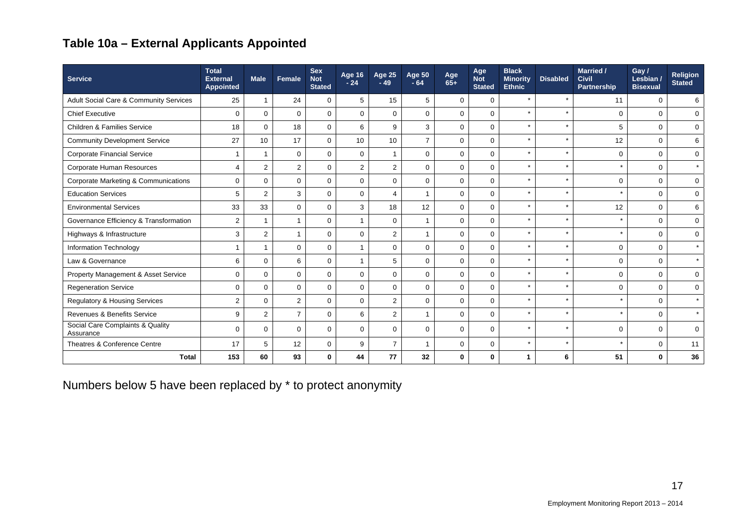## **Table 10a – External Applicants Appointed**

| <b>Service</b>                                | <b>Total</b><br><b>External</b><br>Appointed | <b>Male</b>     | Female         | <b>Sex</b><br><b>Not</b><br><b>Stated</b> | Age 16 $^{\circ}$<br>$-24$ | <b>Age 25</b><br>$-49$  | <b>Age 50</b><br>$-64$ | Age<br>$65+$ | Age<br><b>Not</b><br><b>Stated</b> | <b>Black</b><br><b>Minority</b><br><b>Ethnic</b> | <b>Disabled</b> | Married /<br><b>Civil</b><br><b>Partnership</b> | Gay /<br>Lesbian /<br><b>Bisexual</b> | <b>Religion</b><br><b>Stated</b> |
|-----------------------------------------------|----------------------------------------------|-----------------|----------------|-------------------------------------------|----------------------------|-------------------------|------------------------|--------------|------------------------------------|--------------------------------------------------|-----------------|-------------------------------------------------|---------------------------------------|----------------------------------|
| Adult Social Care & Community Services        | 25                                           |                 | 24             | $\Omega$                                  | 5                          | 15                      | 5                      | $\mathbf 0$  | $\mathbf 0$                        |                                                  | $\star$         | 11                                              | $\Omega$                              | 6                                |
| <b>Chief Executive</b>                        | $\mathbf 0$                                  | $\mathbf 0$     | $\Omega$       | $\Omega$                                  | $\Omega$                   | $\Omega$                | $\mathbf 0$            | $\mathbf 0$  | $\mathbf 0$                        |                                                  | $\star$         | $\Omega$                                        | $\mathbf 0$                           | $\mathbf 0$                      |
| <b>Children &amp; Families Service</b>        | 18                                           | $\Omega$        | 18             | $\mathbf 0$                               | 6                          | 9                       | 3                      | $\mathbf{0}$ | $\mathbf 0$                        | $\star$                                          | $\star$         | 5                                               | $\mathbf 0$                           | $\mathbf 0$                      |
| <b>Community Development Service</b>          | 27                                           | 10 <sup>°</sup> | 17             | $\mathbf 0$                               | 10                         | 10                      | $\overline{7}$         | $\mathbf 0$  | $\mathbf 0$                        | $\star$                                          |                 | 12                                              | $\mathbf 0$                           | 6                                |
| Corporate Financial Service                   | $\overline{1}$                               | 1               | $\mathbf 0$    | $\mathbf 0$                               | $\mathbf 0$                | -1                      | $\mathbf 0$            | $\mathbf{0}$ | $\mathbf 0$                        |                                                  |                 | $\Omega$                                        | $\mathbf 0$                           | $\mathbf 0$                      |
| Corporate Human Resources                     | $\overline{4}$                               | $\overline{2}$  | $\overline{2}$ | $\Omega$                                  | $\overline{2}$             | 2                       | $\mathbf 0$            | $\mathbf 0$  | $\mathbf 0$                        | $\star$                                          | $\star$         | $\star$                                         | $\mathbf 0$                           | $\star$                          |
| Corporate Marketing & Communications          | $\mathbf 0$                                  | $\Omega$        | $\Omega$       | $\Omega$                                  | $\Omega$                   | $\Omega$                | $\Omega$               | $\Omega$     | $\mathbf 0$                        | $\star$                                          |                 | $\Omega$                                        | $\Omega$                              | $\Omega$                         |
| <b>Education Services</b>                     | 5                                            | $\overline{2}$  | 3              | $\Omega$                                  | $\Omega$                   | $\overline{\mathbf{A}}$ | 1                      | $\mathbf 0$  | $\mathbf 0$                        |                                                  |                 | $\star$                                         | $\Omega$                              | $\Omega$                         |
| <b>Environmental Services</b>                 | 33                                           | 33              | $\mathbf 0$    | $\mathbf 0$                               | 3                          | 18                      | 12                     | $\mathbf{0}$ | $\mathbf 0$                        | $\star$                                          | $\star$         | 12                                              | $\mathbf 0$                           | 6                                |
| Governance Efficiency & Transformation        | $\overline{2}$                               |                 | -1             | $\mathbf 0$                               | $\mathbf 1$                | $\Omega$                | $\overline{1}$         | $\mathbf 0$  | $\mathbf 0$                        | $\star$                                          | $\star$         | $\star$                                         | $\mathbf 0$                           | $\Omega$                         |
| Highways & Infrastructure                     | 3                                            | $\overline{2}$  | $\mathbf 1$    | $\Omega$                                  | $\mathbf 0$                | $\overline{2}$          | 1                      | $\mathbf 0$  | $\mathbf 0$                        |                                                  |                 | $\star$                                         | $\mathbf 0$                           | $\mathbf 0$                      |
| <b>Information Technology</b>                 | $\overline{1}$                               |                 | $\Omega$       | $\mathbf 0$                               | $\mathbf{1}$               | $\Omega$                | $\mathbf{0}$           | $\mathbf{0}$ | $\mathbf 0$                        | $\star$                                          | $\star$         | $\Omega$                                        | $\mathbf 0$                           | $\star$                          |
| Law & Governance                              | 6                                            | $\Omega$        | 6              | $\Omega$                                  | $\mathbf 1$                | 5                       | $\mathbf 0$            | $\mathbf 0$  | $\mathbf 0$                        | $\star$                                          | $\star$         | $\Omega$                                        | $\mathbf 0$                           | $\star$                          |
| Property Management & Asset Service           | $\mathbf 0$                                  | $\Omega$        | $\mathbf 0$    | $\mathbf 0$                               | $\Omega$                   | $\Omega$                | $\mathbf 0$            | $\mathbf 0$  | $\mathbf 0$                        |                                                  |                 | $\Omega$                                        | $\mathbf 0$                           | $\mathbf 0$                      |
| <b>Regeneration Service</b>                   | $\mathbf 0$                                  | $\Omega$        | $\Omega$       | $\Omega$                                  | $\Omega$                   | $\Omega$                | $\mathbf 0$            | $\mathbf 0$  | $\mathbf 0$                        |                                                  |                 | $\Omega$                                        | $\Omega$                              | $\mathbf 0$                      |
| <b>Regulatory &amp; Housing Services</b>      | $\overline{c}$                               | $\Omega$        | $\overline{2}$ | $\Omega$                                  | $\Omega$                   | 2                       | $\mathbf 0$            | $\mathbf{0}$ | $\mathbf 0$                        | $\star$                                          | $\star$         | $\pm$                                           | $\Omega$                              | $\star$                          |
| Revenues & Benefits Service                   | 9                                            | $\overline{2}$  | $\overline{7}$ | $\mathbf{0}$                              | 6                          | 2                       | $\overline{1}$         | $\mathbf 0$  | $\mathbf 0$                        |                                                  | $\star$         | $\star$                                         | $\mathbf 0$                           | $\star$                          |
| Social Care Complaints & Quality<br>Assurance | $\mathbf 0$                                  | $\Omega$        | $\Omega$       | $\Omega$                                  | $\Omega$                   | $\Omega$                | $\mathbf 0$            | $\mathbf 0$  | $\mathbf 0$                        |                                                  | $\star$         | $\Omega$                                        | $\Omega$                              | $\Omega$                         |
| Theatres & Conference Centre                  | 17                                           | 5               | 12             | $\mathbf 0$                               | 9                          | $\overline{7}$          | $\overline{1}$         | $\mathbf 0$  | 0                                  |                                                  | $\star$         | $\star$                                         | $\mathbf 0$                           | 11                               |
| <b>Total</b>                                  | 153                                          | 60              | 93             | 0                                         | 44                         | 77                      | 32                     | 0            | 0                                  |                                                  | 6               | 51                                              | $\bf{0}$                              | 36                               |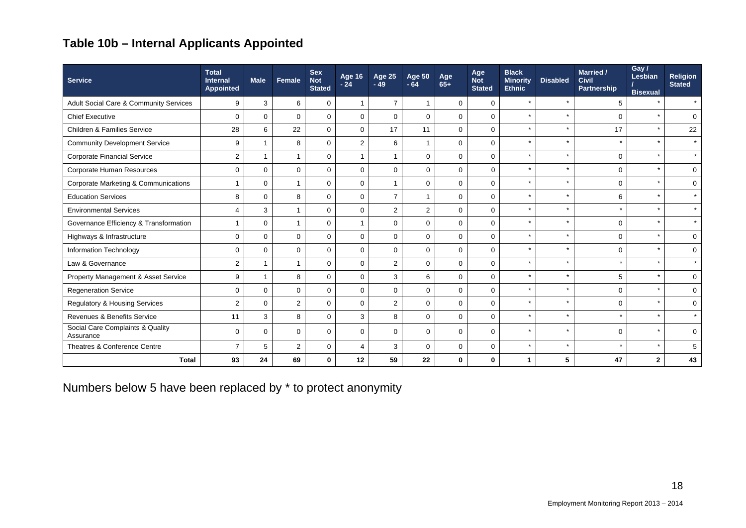## **Table 10b – Internal Applicants Appointed**

| <b>Service</b>                                | <b>Total</b><br><b>Internal</b><br><b>Appointed</b> | <b>Male</b>  | <b>Female</b>  | <b>Sex</b><br><b>Not</b><br><b>Stated</b> | Age 16<br>$-24$ | <b>Age 25</b><br>$-49$ | <b>Age 50</b><br>$-64$ | Age<br>$65+$ | Age<br><b>Not</b><br><b>Stated</b> | <b>Black</b><br><b>Minority</b><br><b>Ethnic</b> | <b>Disabled</b> | <b>Married /</b><br>Civil<br>Partnership | Gay /<br>Lesbian<br><b>Bisexual</b> | <b>Religion</b><br><b>Stated</b> |
|-----------------------------------------------|-----------------------------------------------------|--------------|----------------|-------------------------------------------|-----------------|------------------------|------------------------|--------------|------------------------------------|--------------------------------------------------|-----------------|------------------------------------------|-------------------------------------|----------------------------------|
| Adult Social Care & Community Services        | 9                                                   | 3            | 6              | $\mathbf 0$                               | 1               | $\overline{7}$         |                        | $\mathbf 0$  | 0                                  | $\star$                                          |                 | 5                                        | $\star$                             | $\star$                          |
| <b>Chief Executive</b>                        | $\Omega$                                            | $\Omega$     | $\Omega$       | $\Omega$                                  | $\Omega$        | $\Omega$               | $\Omega$               | $\mathbf 0$  | $\mathbf 0$                        | $\star$                                          |                 | $\Omega$                                 | $\star$                             | $\Omega$                         |
| <b>Children &amp; Families Service</b>        | 28                                                  | 6            | 22             | $\mathbf 0$                               | $\Omega$        | 17                     | 11                     | 0            | $\mathbf 0$                        | $\star$                                          |                 | 17                                       | $\star$                             | 22                               |
| <b>Community Development Service</b>          | 9                                                   | $\mathbf{1}$ | 8              | $\mathbf 0$                               | 2               | 6                      | $\overline{1}$         | $\mathbf 0$  | $\mathbf 0$                        | $\star$                                          |                 |                                          | $\star$                             | $\star$                          |
| <b>Corporate Financial Service</b>            | $\overline{2}$                                      | 1            | $\overline{1}$ | $\mathbf 0$                               | 1               |                        | $\mathbf 0$            | $\mathbf 0$  | 0                                  | $\star$                                          | $\star$         | $\Omega$                                 | $\star$                             | $\star$                          |
| Corporate Human Resources                     | 0                                                   | $\Omega$     | $\Omega$       | $\mathbf 0$                               | $\mathbf 0$     | $\mathbf 0$            | $\mathbf 0$            | $\mathbf 0$  | $\mathbf 0$                        | $\star$                                          |                 | $\Omega$                                 | $\star$                             | $\mathbf 0$                      |
| Corporate Marketing & Communications          | $\overline{1}$                                      | $\Omega$     | $\overline{1}$ | $\mathbf 0$                               | $\mathbf 0$     |                        | $\Omega$               | $\mathbf 0$  | 0                                  | $\star$                                          |                 | $\Omega$                                 | $\star$                             | $\mathbf 0$                      |
| <b>Education Services</b>                     | 8                                                   | $\Omega$     | 8              | $\Omega$                                  | $\Omega$        | $\overline{7}$         |                        | $\mathbf 0$  | $\mathbf 0$                        | $\star$                                          | $\star$         | 6                                        | $\star$                             |                                  |
| <b>Environmental Services</b>                 | $\overline{4}$                                      | 3            | -1             | $\mathbf 0$                               | $\mathbf 0$     | $\overline{2}$         | 2                      | $\mathbf 0$  | 0                                  | $\star$                                          | $\star$         |                                          | $\star$                             | $\star$                          |
| Governance Efficiency & Transformation        | $\overline{1}$                                      | $\mathbf 0$  | $\overline{1}$ | $\mathbf 0$                               | 1               | $\Omega$               | $\mathbf 0$            | $\mathbf 0$  | $\mathbf 0$                        | $\star$                                          |                 | $\Omega$                                 | $\star$                             | $\star$                          |
| Highways & Infrastructure                     | $\mathbf 0$                                         | $\Omega$     | $\Omega$       | $\Omega$                                  | $\Omega$        | $\Omega$               | $\Omega$               | $\mathbf 0$  | $\mathbf 0$                        | $\star$                                          |                 | $\Omega$                                 | $\star$                             | $\mathbf 0$                      |
| Information Technology                        | 0                                                   | $\Omega$     | $\Omega$       | $\mathbf 0$                               | $\mathbf 0$     | $\Omega$               | $\mathbf 0$            | $\mathbf 0$  | 0                                  | $\star$                                          | $\star$         | $\Omega$                                 | $\star$                             | $\mathbf 0$                      |
| Law & Governance                              | $\overline{2}$                                      | 1            |                | $\Omega$                                  | $\Omega$        | 2                      | $\Omega$               | $\mathbf 0$  | $\mathbf 0$                        | $\star$                                          |                 |                                          | $\star$                             | $\star$                          |
| Property Management & Asset Service           | 9                                                   | $\mathbf{1}$ | 8              | $\mathbf 0$                               | $\mathbf 0$     | 3                      | 6                      | $\mathbf 0$  | $\mathbf 0$                        | $\star$                                          |                 | 5                                        |                                     | $\mathbf 0$                      |
| <b>Regeneration Service</b>                   | 0                                                   | $\Omega$     | $\Omega$       | $\mathbf 0$                               | $\Omega$        | $\Omega$               | $\Omega$               | $\mathbf 0$  | $\mathbf 0$                        | $\star$                                          | $\star$         | $\Omega$                                 | $\star$                             | $\mathbf 0$                      |
| <b>Regulatory &amp; Housing Services</b>      | $\overline{2}$                                      | $\Omega$     | 2              | $\mathbf 0$                               | $\mathbf 0$     | $\overline{2}$         | $\Omega$               | $\mathbf 0$  | 0                                  | $\star$                                          |                 | $\Omega$                                 | $\star$                             | $\mathbf 0$                      |
| <b>Revenues &amp; Benefits Service</b>        | 11                                                  | 3            | 8              | $\mathbf 0$                               | 3               | 8                      | $\mathbf 0$            | $\mathbf 0$  | $\mathbf 0$                        | $\star$                                          | $\star$         |                                          |                                     |                                  |
| Social Care Complaints & Quality<br>Assurance | $\mathbf 0$                                         | $\Omega$     | $\mathbf 0$    | $\mathbf 0$                               | $\mathbf 0$     | $\Omega$               | $\mathbf 0$            | $\mathbf 0$  | $\mathbf 0$                        | $\star$                                          | $\star$         | $\Omega$                                 |                                     | $\mathbf 0$                      |
| Theatres & Conference Centre                  | $\overline{7}$                                      | 5            | $\overline{2}$ | $\mathbf 0$                               | $\overline{4}$  | 3                      | $\mathbf 0$            | 0            | 0                                  | $\star$                                          | $\star$         |                                          | $\star$                             | 5                                |
| <b>Total</b>                                  | 93                                                  | 24           | 69             | $\mathbf 0$                               | 12              | 59                     | 22                     | $\mathbf 0$  | $\mathbf 0$                        |                                                  | 5               | 47                                       | $\mathbf{2}$                        | 43                               |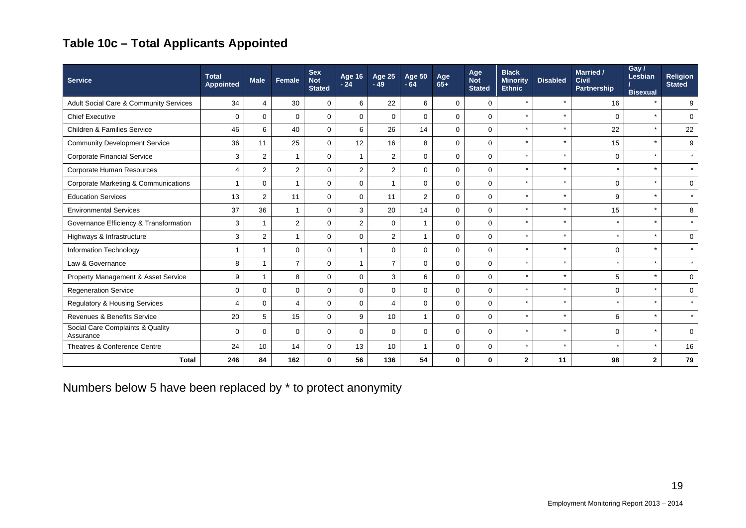## **Table 10c – Total Applicants Appointed**

| <b>Service</b>                                  | <b>Total</b><br>Appointed | <b>Male</b>    | Female         | <b>Sex</b><br><b>Not</b><br><b>Stated</b> | Age 16<br>$-24$ | <b>Age 25</b><br>$-49$ | <b>Age 50</b><br>$-64$ | Age<br>$65+$ | Age<br><b>Not</b><br><b>Stated</b> | <b>Black</b><br><b>Minority</b><br><b>Ethnic</b> | <b>Disabled</b> | Married /<br><b>Civil</b><br>Partnership | Gay /<br>Lesbian<br><b>Bisexual</b> | <b>Religion</b><br><b>Stated</b> |
|-------------------------------------------------|---------------------------|----------------|----------------|-------------------------------------------|-----------------|------------------------|------------------------|--------------|------------------------------------|--------------------------------------------------|-----------------|------------------------------------------|-------------------------------------|----------------------------------|
| Adult Social Care & Community Services          | 34                        | 4              | 30             | $\mathbf 0$                               | 6               | 22                     | 6                      | $\mathbf 0$  | $\mathbf 0$                        | $\star$                                          |                 | 16                                       | $\star$                             | 9                                |
| <b>Chief Executive</b>                          | $\mathbf 0$               | $\mathbf 0$    | $\Omega$       | $\mathbf 0$                               | $\mathbf 0$     | $\mathbf 0$            | $\Omega$               | $\mathbf 0$  | $\mathbf 0$                        | $\star$                                          | $\star$         | $\Omega$                                 | $\star$                             | 0                                |
| <b>Children &amp; Families Service</b>          | 46                        | 6              | 40             | $\mathbf 0$                               | 6               | 26                     | 14                     | $\mathbf{0}$ | $\mathsf 0$                        | $\star$                                          |                 | 22                                       | $\star$                             | 22                               |
| <b>Community Development Service</b>            | 36                        | 11             | 25             | $\mathbf 0$                               | 12              | 16                     | 8                      | $\mathbf 0$  | $\mathbf 0$                        | $\star$                                          |                 | 15                                       | $\star$                             | 9                                |
| <b>Corporate Financial Service</b>              | 3                         | $\overline{2}$ |                | $\mathbf 0$                               |                 | 2                      | $\Omega$               | $\mathbf 0$  | $\mathbf 0$                        | $\star$                                          |                 | $\mathbf 0$                              | $\star$                             | $\star$                          |
| Corporate Human Resources                       | $\overline{4}$            | $\overline{2}$ | $\overline{2}$ | $\mathbf 0$                               | 2               | $\overline{2}$         | $\Omega$               | $\mathbf 0$  | $\mathbf 0$                        | $\star$                                          |                 |                                          | $\star$                             | $\star$                          |
| <b>Corporate Marketing &amp; Communications</b> | $\mathbf{1}$              | $\Omega$       |                | $\Omega$                                  | $\mathbf 0$     |                        | $\Omega$               | $\mathbf 0$  | $\mathbf 0$                        | $\star$                                          |                 | $\Omega$                                 | $\star$                             | 0                                |
| <b>Education Services</b>                       | 13                        | $\overline{2}$ | 11             | $\Omega$                                  | $\Omega$        | 11                     | 2                      | $\mathbf 0$  | $\mathbf 0$                        | $\star$                                          |                 | 9                                        | $\star$                             | $\star$                          |
| <b>Environmental Services</b>                   | 37                        | 36             |                | $\mathbf 0$                               | 3               | 20                     | 14                     | $\mathbf 0$  | $\mathbf 0$                        | $\star$                                          |                 | 15                                       | $\star$                             | 8                                |
| Governance Efficiency & Transformation          | 3                         |                | 2              | $\mathbf 0$                               | 2               | $\mathbf 0$            |                        | $\mathbf 0$  | $\mathbf 0$                        | $\star$                                          |                 |                                          | $\star$                             | $\star$                          |
| Highways & Infrastructure                       | 3                         | $\overline{2}$ |                | $\Omega$                                  | $\Omega$        | 2                      | 1                      | $\mathbf 0$  | $\mathbf 0$                        | $\star$                                          |                 | $\star$                                  | $\star$                             | 0                                |
| Information Technology                          | $\mathbf 1$               |                | $\mathbf 0$    | $\mathbf 0$                               |                 | $\mathbf 0$            | $\mathbf 0$            | $\mathbf 0$  | $\mathbf 0$                        | $\star$                                          |                 | $\mathbf 0$                              | $\star$                             | $\star$                          |
| Law & Governance                                | 8                         |                | $\overline{7}$ | $\Omega$                                  |                 | $\overline{7}$         | $\Omega$               | $\mathbf 0$  | $\mathbf 0$                        | $\star$                                          |                 |                                          | $\star$                             | $\star$                          |
| Property Management & Asset Service             | 9                         | 1              | 8              | $\Omega$                                  | $\Omega$        | 3                      | 6                      | $\mathbf 0$  | $\mathbf 0$                        | $\star$                                          |                 | 5                                        | $\star$                             | $\mathbf 0$                      |
| <b>Regeneration Service</b>                     | $\mathbf 0$               | $\Omega$       | $\mathbf 0$    | $\mathbf 0$                               | $\mathbf 0$     | $\mathbf 0$            | $\Omega$               | $\mathbf 0$  | $\mathsf 0$                        | $\star$                                          |                 | $\mathbf 0$                              | $\star$                             | 0                                |
| Regulatory & Housing Services                   | 4                         | $\Omega$       | $\overline{a}$ | $\Omega$                                  | $\Omega$        | 4                      | $\Omega$               | $\mathbf 0$  | $\mathbf 0$                        | $\star$                                          |                 | $\star$                                  | $\star$                             | $\star$                          |
| <b>Revenues &amp; Benefits Service</b>          | 20                        | 5              | 15             | $\Omega$                                  | 9               | 10                     | -1                     | $\mathbf 0$  | $\mathsf 0$                        | $\star$                                          |                 | 6                                        | $\star$                             | $\star$                          |
| Social Care Complaints & Quality<br>Assurance   | $\mathbf 0$               | $\Omega$       | $\Omega$       | $\mathbf 0$                               | $\mathbf 0$     | $\Omega$               | $\Omega$               | 0            | $\mathbf 0$                        | $\star$                                          |                 | $\Omega$                                 | $\star$                             | 0                                |
| Theatres & Conference Centre                    | 24                        | 10             | 14             | $\mathbf 0$                               | 13              | 10                     | -1                     | $\mathbf 0$  | $\mathsf 0$                        | $\star$                                          |                 |                                          | $\star$                             | 16                               |
| <b>Total</b>                                    | 246                       | 84             | 162            | $\mathbf 0$                               | 56              | 136                    | 54                     | 0            | $\mathbf 0$                        | $\mathbf{2}$                                     | 11              | 98                                       | $\overline{2}$                      | 79                               |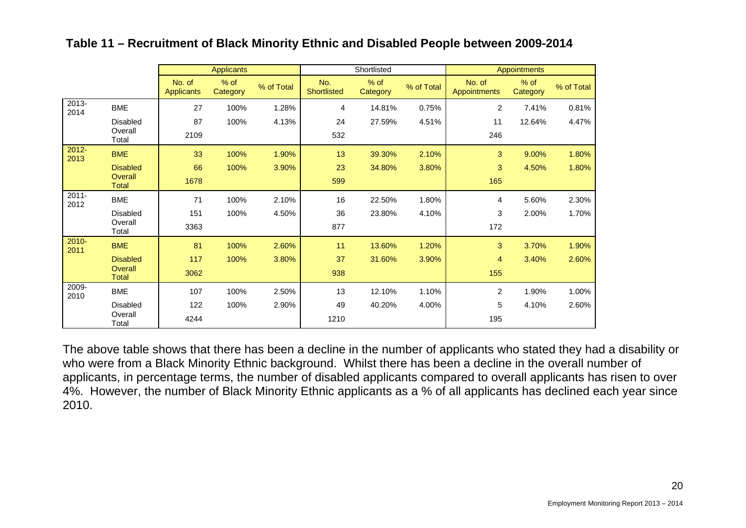|                  |                         |                             | <b>Applicants</b>  |            |                           | Shortlisted        |            |                        | <b>Appointments</b> |            |
|------------------|-------------------------|-----------------------------|--------------------|------------|---------------------------|--------------------|------------|------------------------|---------------------|------------|
|                  |                         | No. of<br><b>Applicants</b> | $%$ of<br>Category | % of Total | No.<br><b>Shortlisted</b> | $%$ of<br>Category | % of Total | No. of<br>Appointments | $%$ of<br>Category  | % of Total |
| 2013-<br>2014    | <b>BME</b>              | 27                          | 100%               | 1.28%      | 4                         | 14.81%             | 0.75%      | 2                      | 7.41%               | 0.81%      |
|                  | <b>Disabled</b>         | 87                          | 100%               | 4.13%      | 24                        | 27.59%             | 4.51%      | 11                     | 12.64%              | 4.47%      |
|                  | Overall<br>Total        | 2109                        |                    |            | 532                       |                    |            | 246                    |                     |            |
| $2012 -$<br>2013 | <b>BME</b>              | 33                          | 100%               | 1.90%      | 13                        | 39.30%             | 2.10%      | 3                      | 9.00%               | 1.80%      |
|                  | <b>Disabled</b>         | 66                          | 100%               | 3.90%      | 23                        | 34.80%             | 3.80%      | 3                      | 4.50%               | 1.80%      |
|                  | Overall<br><b>Total</b> | 1678                        |                    |            | 599                       |                    |            | 165                    |                     |            |
| $2011 -$<br>2012 | <b>BME</b>              | 71                          | 100%               | 2.10%      | 16                        | 22.50%             | 1.80%      | 4                      | 5.60%               | 2.30%      |
|                  | <b>Disabled</b>         | 151                         | 100%               | 4.50%      | 36                        | 23.80%             | 4.10%      | 3                      | 2.00%               | 1.70%      |
|                  | Overall<br>Total        | 3363                        |                    |            | 877                       |                    |            | 172                    |                     |            |
| $2010 -$<br>2011 | <b>BME</b>              | 81                          | 100%               | 2.60%      | 11                        | 13.60%             | 1.20%      | 3                      | 3.70%               | 1.90%      |
|                  | <b>Disabled</b>         | 117                         | 100%               | 3.80%      | 37                        | 31.60%             | 3.90%      | 4                      | 3.40%               | 2.60%      |
|                  | Overall<br><b>Total</b> | 3062                        |                    |            | 938                       |                    |            | 155                    |                     |            |
| 2009-<br>2010    | <b>BME</b>              | 107                         | 100%               | 2.50%      | 13                        | 12.10%             | 1.10%      | 2                      | 1.90%               | 1.00%      |
|                  | <b>Disabled</b>         | 122                         | 100%               | 2.90%      | 49                        | 40.20%             | 4.00%      | 5                      | 4.10%               | 2.60%      |
|                  | Overall<br>Total        | 4244                        |                    |            | 1210                      |                    |            | 195                    |                     |            |

#### **Table 11 – Recruitment of Black Minority Ethnic and Disabled People between 2009-2014**

The above table shows that there has been a decline in the number of applicants who stated they had a disability or who were from a Black Minority Ethnic background. Whilst there has been a decline in the overall number of applicants, in percentage terms, the number of disabled applicants compared to overall applicants has risen to over 4%. However, the number of Black Minority Ethnic applicants as a % of all applicants has declined each year since 2010.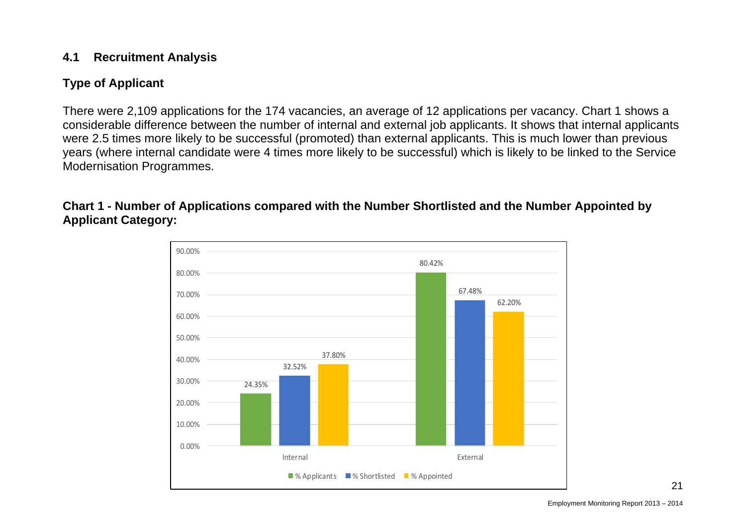### **4.1 Recruitment Analysis**

## **Type of Applicant**

There were 2,109 applications for the 174 vacancies, an average of 12 applications per vacancy. Chart 1 shows a considerable difference between the number of internal and external job applicants. It shows that internal applicants were 2.5 times more likely to be successful (promoted) than external applicants. This is much lower than previous years (where internal candidate were 4 times more likely to be successful) which is likely to be linked to the Service Modernisation Programmes.

**Chart 1 - Number of Applications compared with the Number Shortlisted and the Number Appointed by Applicant Category:** 

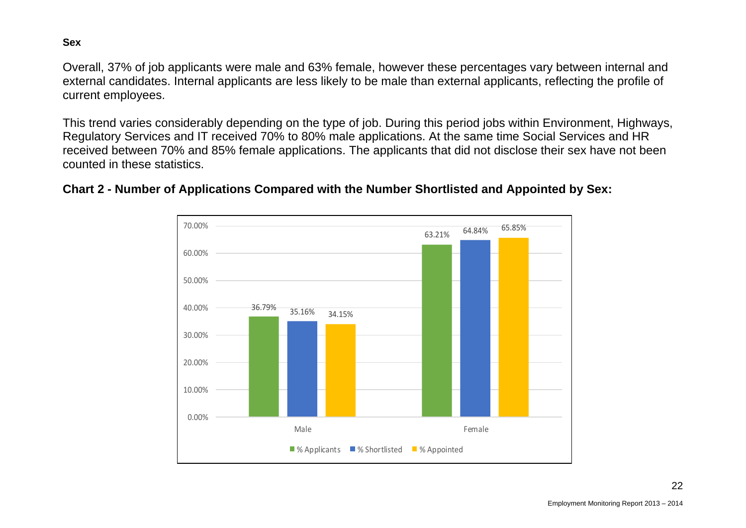**Sex** 

Overall, 37% of job applicants were male and 63% female, however these percentages vary between internal and external candidates. Internal applicants are less likely to be male than external applicants, reflecting the profile of current employees.

This trend varies considerably depending on the type of job. During this period jobs within Environment, Highways, Regulatory Services and IT received 70% to 80% male applications. At the same time Social Services and HR received between 70% and 85% female applications. The applicants that did not disclose their sex have not been counted in these statistics.

## **Chart 2 - Number of Applications Compared with the Number Shortlisted and Appointed by Sex:**

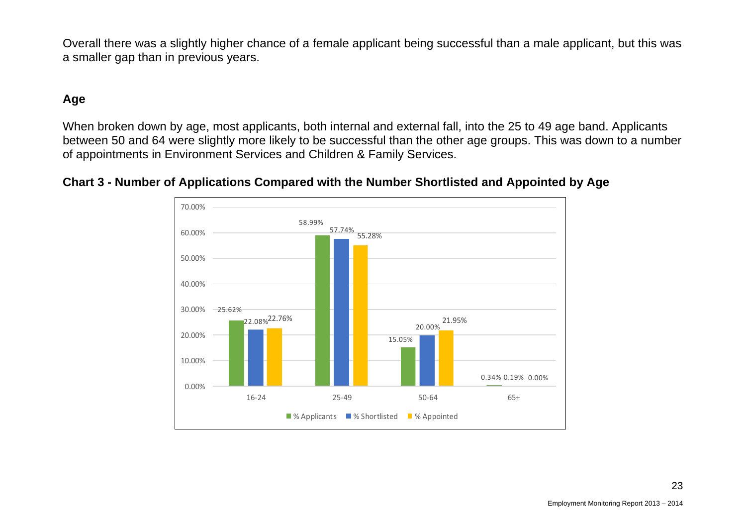Overall there was a slightly higher chance of a female applicant being successful than a male applicant, but this was a smaller gap than in previous years.

## **Age**

When broken down by age, most applicants, both internal and external fall, into the 25 to 49 age band. Applicants between 50 and 64 were slightly more likely to be successful than the other age groups. This was down to a number of appointments in Environment Services and Children & Family Services.



#### **Chart 3 - Number of Applications Compared with the Number Shortlisted and Appointed by Age**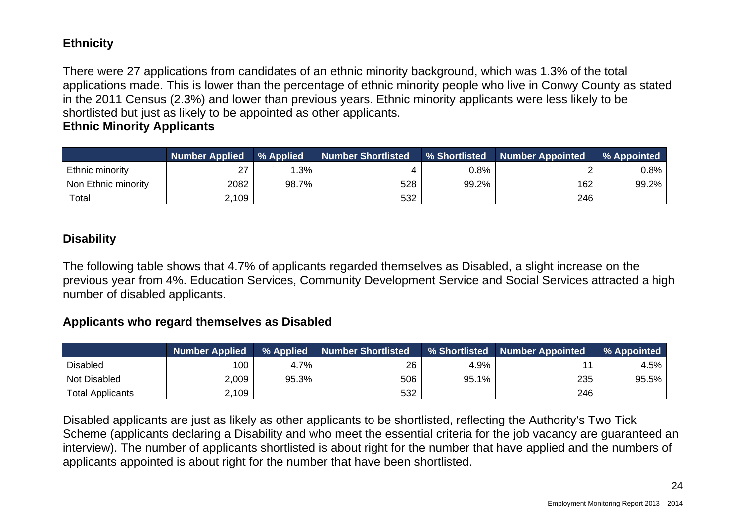#### **Ethnicity**

There were 27 applications from candidates of an ethnic minority background, which was 1.3% of the total applications made. This is lower than the percentage of ethnic minority people who live in Conwy County as stated in the 2011 Census (2.3%) and lower than previous years. Ethnic minority applicants were less likely to be shortlisted but just as likely to be appointed as other applicants.

#### **Ethnic Minority Applicants**

|                     | <b>Number Applied</b> | % Applied | <b>Number Shortlisted</b> | % Shortlisted | <b>Number Appointed</b> | % Appointed |
|---------------------|-----------------------|-----------|---------------------------|---------------|-------------------------|-------------|
| Ethnic minority     | 27                    | $.3\%$    |                           | $0.8\%$       |                         | 0.8%        |
| Non Ethnic minority | 2082                  | 98.7%     | 528                       | 99.2%         | 162                     | 99.2%       |
| Total               | 2,109                 |           | 532                       |               | 246                     |             |

#### **Disability**

The following table shows that 4.7% of applicants regarded themselves as Disabled, a slight increase on the previous year from 4%. Education Services, Community Development Service and Social Services attracted a high number of disabled applicants.

#### **Applicants who regard themselves as Disabled**

|                         | <b>Number Applied</b> | % Applied | <b>Number Shortlisted</b> | % Shortlisted | <b>Number Appointed</b> | % Appointed |
|-------------------------|-----------------------|-----------|---------------------------|---------------|-------------------------|-------------|
| <b>Disabled</b>         | 100                   | 4.7%      | 26                        | 4.9%          |                         | 4.5%        |
| Not Disabled            | 2,009                 | 95.3%     | 506                       | 95.1%         | 235                     | 95.5%       |
| <b>Total Applicants</b> | 2,109                 |           | 532                       |               | 246                     |             |

Disabled applicants are just as likely as other applicants to be shortlisted, reflecting the Authority's Two Tick Scheme (applicants declaring a Disability and who meet the essential criteria for the job vacancy are guaranteed an interview). The number of applicants shortlisted is about right for the number that have applied and the numbers of applicants appointed is about right for the number that have been shortlisted.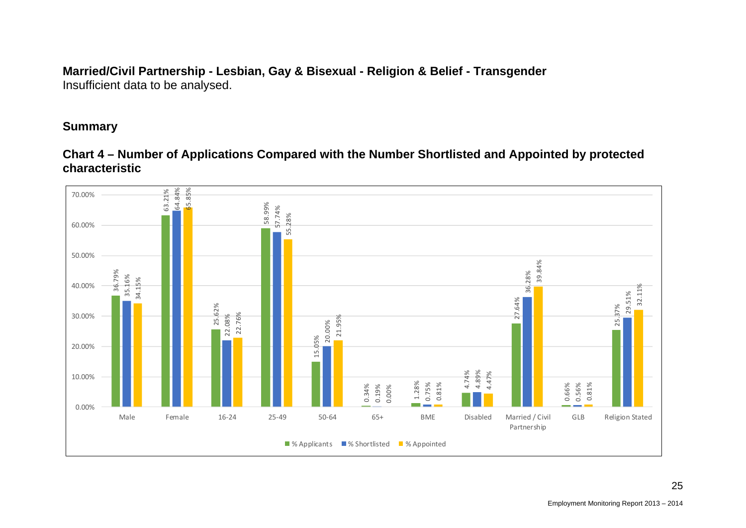#### **Married/Civil Partnership - Lesbian, Gay & Bisexual - Religion & Belief - Transgender**  Insufficient data to be analysed.

#### **Summary**

**Chart 4 – Number of Applications Compared with the Number Shortlisted and Appointed by protected characteristic** 

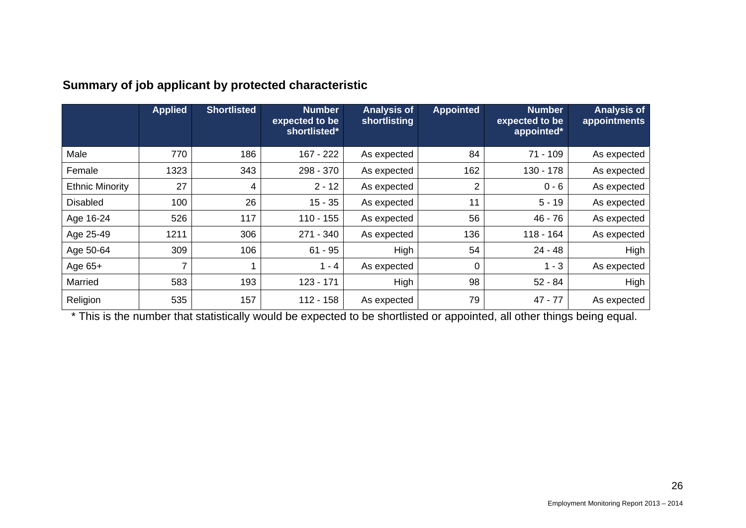|                        | <b>Applied</b> | <b>Shortlisted</b> | <b>Number</b><br>expected to be<br>shortlisted* | <b>Analysis of</b><br>shortlisting | <b>Appointed</b> | <b>Number</b><br>expected to be<br>appointed* | <b>Analysis of</b><br>appointments |
|------------------------|----------------|--------------------|-------------------------------------------------|------------------------------------|------------------|-----------------------------------------------|------------------------------------|
| Male                   | 770            | 186                | 167 - 222                                       | As expected                        | 84               | $71 - 109$                                    | As expected                        |
| Female                 | 1323           | 343                | 298 - 370                                       | As expected                        | 162              | 130 - 178                                     | As expected                        |
| <b>Ethnic Minority</b> | 27             | 4                  | $2 - 12$                                        | As expected                        | 2                | $0 - 6$                                       | As expected                        |
| <b>Disabled</b>        | 100            | 26                 | $15 - 35$                                       | As expected                        | 11               | $5 - 19$                                      | As expected                        |
| Age 16-24              | 526            | 117                | $110 - 155$                                     | As expected                        | 56               | $46 - 76$                                     | As expected                        |
| Age 25-49              | 1211           | 306                | 271 - 340                                       | As expected                        | 136              | $118 - 164$                                   | As expected                        |
| Age 50-64              | 309            | 106                | $61 - 95$                                       | High                               | 54               | $24 - 48$                                     | High                               |
| Age 65+                |                |                    | $1 - 4$                                         | As expected                        | 0                | $1 - 3$                                       | As expected                        |
| Married                | 583            | 193                | 123 - 171                                       | High                               | 98               | $52 - 84$                                     | High                               |
| Religion               | 535            | 157                | $112 - 158$                                     | As expected                        | 79               | $47 - 77$                                     | As expected                        |

## **Summary of job applicant by protected characteristic**

\* This is the number that statistically would be expected to be shortlisted or appointed, all other things being equal.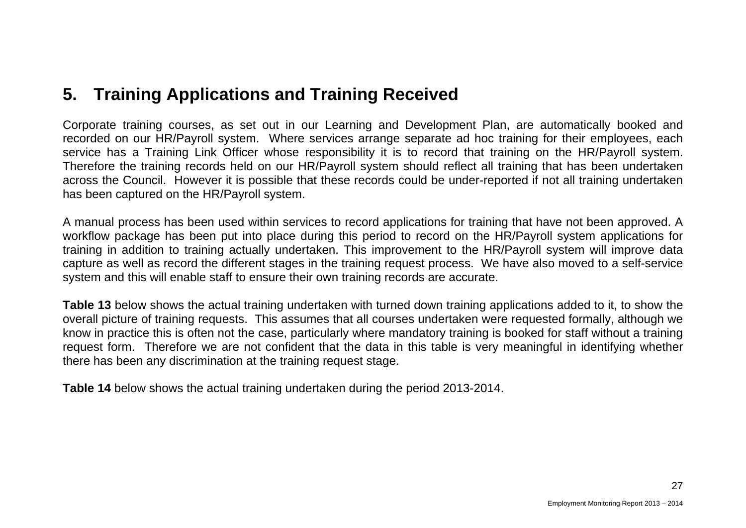## **5. Training Applications and Training Received**

Corporate training courses, as set out in our Learning and Development Plan, are automatically booked and recorded on our HR/Payroll system. Where services arrange separate ad hoc training for their employees, each service has a Training Link Officer whose responsibility it is to record that training on the HR/Payroll system. Therefore the training records held on our HR/Payroll system should reflect all training that has been undertaken across the Council. However it is possible that these records could be under-reported if not all training undertaken has been captured on the HR/Payroll system.

A manual process has been used within services to record applications for training that have not been approved. A workflow package has been put into place during this period to record on the HR/Payroll system applications for training in addition to training actually undertaken. This improvement to the HR/Payroll system will improve data capture as well as record the different stages in the training request process. We have also moved to a self-service system and this will enable staff to ensure their own training records are accurate.

**Table 13** below shows the actual training undertaken with turned down training applications added to it, to show the overall picture of training requests. This assumes that all courses undertaken were requested formally, although we know in practice this is often not the case, particularly where mandatory training is booked for staff without a training request form. Therefore we are not confident that the data in this table is very meaningful in identifying whether there has been any discrimination at the training request stage.

**Table 14** below shows the actual training undertaken during the period 2013-2014.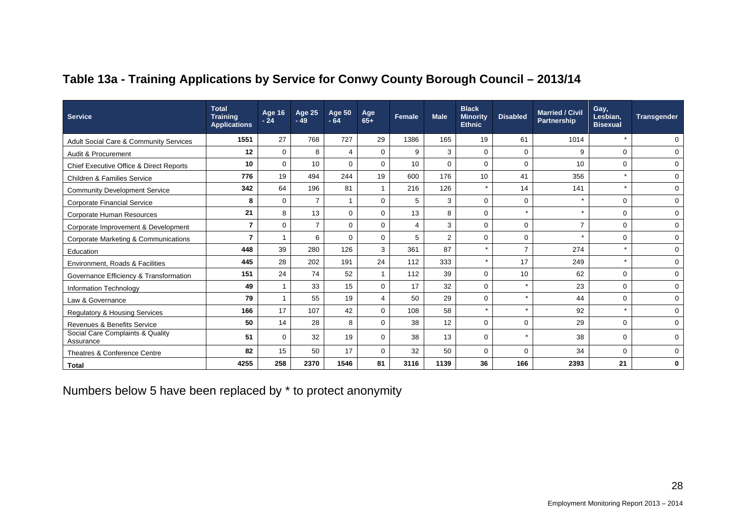| <b>Service</b>                                    | <b>Total</b><br><b>Training</b><br><b>Applications</b> | <b>Age 16</b><br>$-24$ | <b>Age 25</b><br>$-49$ | <b>Age 50</b><br>$-64$ | Age<br>$65+$ | <b>Female</b> | <b>Male</b> | <b>Black</b><br><b>Minority</b><br><b>Ethnic</b> | <b>Disabled</b> | <b>Married / Civil</b><br><b>Partnership</b> | Gay,<br>Lesbian.<br><b>Bisexual</b> | Transgender |
|---------------------------------------------------|--------------------------------------------------------|------------------------|------------------------|------------------------|--------------|---------------|-------------|--------------------------------------------------|-----------------|----------------------------------------------|-------------------------------------|-------------|
| <b>Adult Social Care &amp; Community Services</b> | 1551                                                   | 27                     | 768                    | 727                    | 29           | 1386          | 165         | 19                                               | 61              | 1014                                         |                                     | $\mathbf 0$ |
| Audit & Procurement                               | 12                                                     | $\mathbf 0$            | 8                      | 4                      | $\mathbf 0$  | 9             | 3           | $\Omega$                                         | 0               | 9                                            | $\mathbf 0$                         | $\mathbf 0$ |
| Chief Executive Office & Direct Reports           | 10                                                     | $\Omega$               | 10                     | $\Omega$               | $\Omega$     | 10            | $\mathbf 0$ | $\Omega$                                         | $\mathbf 0$     | 10                                           | $\mathbf 0$                         | $\mathbf 0$ |
| <b>Children &amp; Families Service</b>            | 776                                                    | 19                     | 494                    | 244                    | 19           | 600           | 176         | 10                                               | 41              | 356                                          | $\star$                             | $\mathbf 0$ |
| <b>Community Development Service</b>              | 342                                                    | 64                     | 196                    | 81                     |              | 216           | 126         |                                                  | 14              | 141                                          | $\star$                             | $\mathbf 0$ |
| <b>Corporate Financial Service</b>                | 8                                                      | $\mathbf 0$            | $\overline{7}$         |                        | $\mathbf 0$  | 5             | 3           | $\mathbf 0$                                      | $\mathbf 0$     | $\star$                                      | $\mathbf 0$                         | $\mathbf 0$ |
| Corporate Human Resources                         | 21                                                     | 8                      | 13                     | $\Omega$               | $\Omega$     | 13            | 8           | $\Omega$                                         | $\star$         |                                              | $\Omega$                            | $\mathbf 0$ |
| Corporate Improvement & Development               | 7                                                      | $\Omega$               | $\overline{7}$         | $\Omega$               | $\Omega$     | 4             | 3           | $\Omega$                                         | 0               | $\overline{7}$                               | $\Omega$                            | $\pmb{0}$   |
| <b>Corporate Marketing &amp; Communications</b>   | 7                                                      | 1                      | 6                      | $\Omega$               | $\mathbf 0$  | 5             | 2           | 0                                                | 0               |                                              | $\mathbf 0$                         | $\mathbf 0$ |
| Education                                         | 448                                                    | 39                     | 280                    | 126                    | 3            | 361           | 87          | ÷                                                | $\overline{7}$  | 274                                          | $\star$                             | $\mathbf 0$ |
| Environment, Roads & Facilities                   | 445                                                    | 28                     | 202                    | 191                    | 24           | 112           | 333         | $\star$                                          | 17              | 249                                          | $\star$                             | $\mathbf 0$ |
| Governance Efficiency & Transformation            | 151                                                    | 24                     | 74                     | 52                     |              | 112           | 39          | $\Omega$                                         | 10              | 62                                           | $\mathbf 0$                         | $\mathbf 0$ |
| Information Technology                            | 49                                                     |                        | 33                     | 15                     | $\Omega$     | 17            | 32          | $\Omega$                                         | $\star$         | 23                                           | $\Omega$                            | $\mathbf 0$ |
| Law & Governance                                  | 79                                                     | 1                      | 55                     | 19                     | 4            | 50            | 29          | $\Omega$                                         | $\star$         | 44                                           | $\Omega$                            | $\mathbf 0$ |
| <b>Regulatory &amp; Housing Services</b>          | 166                                                    | 17                     | 107                    | 42                     | $\mathbf 0$  | 108           | 58          | $\star$                                          | $\star$         | 92                                           | $\star$                             | $\mathbf 0$ |
| <b>Revenues &amp; Benefits Service</b>            | 50                                                     | 14                     | 28                     | 8                      | $\Omega$     | 38            | 12          | $\Omega$                                         | $\mathbf 0$     | 29                                           | $\Omega$                            | $\mathbf 0$ |
| Social Care Complaints & Quality<br>Assurance     | 51                                                     | $\mathbf 0$            | 32                     | 19                     | $\mathbf 0$  | 38            | 13          | $\Omega$                                         | $\star$         | 38                                           | $\mathbf 0$                         | $\mathbf 0$ |
| Theatres & Conference Centre                      | 82                                                     | 15                     | 50                     | 17                     | $\Omega$     | 32            | 50          | $\Omega$                                         | 0               | 34                                           | $\Omega$                            | $\mathbf 0$ |
| <b>Total</b>                                      | 4255                                                   | 258                    | 2370                   | 1546                   | 81           | 3116          | 1139        | 36                                               | 166             | 2393                                         | 21                                  | $\mathbf 0$ |

## **Table 13a - Training Applications by Service for Conwy County Borough Council – 2013/14**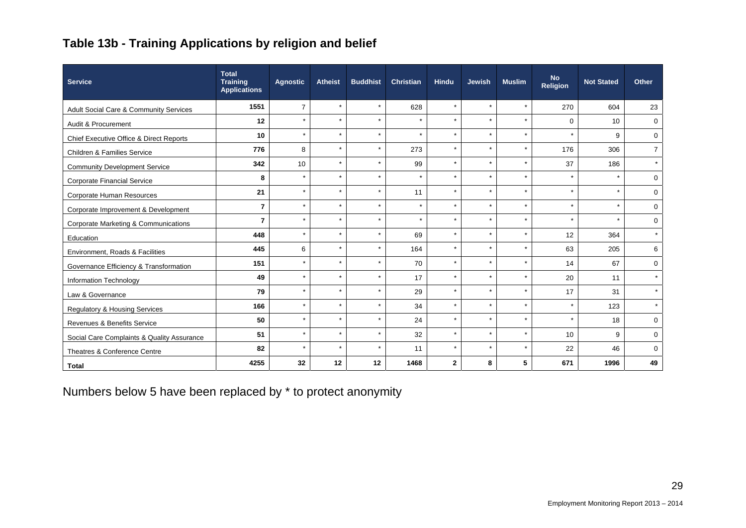## **Table 13b - Training Applications by religion and belief**

| Service                                         | <b>Total</b><br><b>Training</b><br><b>Applications</b> | <b>Agnostic</b> | <b>Atheist</b> | <b>Buddhist</b> | <b>Christian</b> | <b>Hindu</b>   | <b>Jewish</b>        | <b>Muslim</b> | <b>No</b><br>Religion | <b>Not Stated</b> | Other          |
|-------------------------------------------------|--------------------------------------------------------|-----------------|----------------|-----------------|------------------|----------------|----------------------|---------------|-----------------------|-------------------|----------------|
| Adult Social Care & Community Services          | 1551                                                   | $\overline{7}$  | $\star$        | $\star$         | 628              | $\star$        | $\star$              | $\star$       | 270                   | 604               | 23             |
| Audit & Procurement                             | 12                                                     | $\star$         | $\star$        | $\star$         | $\star$          | $\star$        | $\star$              | $\star$       | $\Omega$              | 10                | $\mathbf 0$    |
| Chief Executive Office & Direct Reports         | 10                                                     | $\star$         | $\star$        | $\star$         | $\star$          | $\star$        |                      | $\star$       | $\star$               | 9                 | $\mathbf 0$    |
| Children & Families Service                     | 776                                                    | 8               | $\star$        | $\star$         | 273              | $\star$        | $\star$              | $\star$       | 176                   | 306               | $\overline{7}$ |
| <b>Community Development Service</b>            | 342                                                    | 10              | $\star$        | $\star$         | 99               | $\star$        |                      | $\star$       | 37                    | 186               |                |
| <b>Corporate Financial Service</b>              | 8                                                      | $\star$         | $\star$        | $\star$         | $\star$          | $\star$        | $\star$              | $\star$       | $\star$               |                   | 0              |
| Corporate Human Resources                       | 21                                                     | $\star$         | $\star$        | $\star$         | 11               | $\star$        | ÷                    | $\star$       | $\star$               |                   | $\Omega$       |
| Corporate Improvement & Development             | $\overline{7}$                                         | $\star$         | $\star$        | $\star$         | $\star$          | $\star$        | $\ddot{\phantom{1}}$ | $\star$       | $\star$               |                   | $\mathbf 0$    |
| <b>Corporate Marketing &amp; Communications</b> | $\overline{7}$                                         | $\star$         | $\star$        | $\star$         | $\star$          | $\star$        | $\star$              | $\star$       | $\star$               | $\star$           | 0              |
| Education                                       | 448                                                    | $\star$         | $\star$        | $\star$         | 69               | $\star$        |                      | $\star$       | 12                    | 364               | $\star$        |
| Environment, Roads & Facilities                 | 445                                                    | 6               | $\star$        | $\star$         | 164              | $\star$        | $\star$              | $\star$       | 63                    | 205               | 6              |
| Governance Efficiency & Transformation          | 151                                                    | $\star$         | $\star$        | $\star$         | 70               | $\star$        | $\ddot{\phantom{1}}$ | $\star$       | 14                    | 67                | $\mathbf 0$    |
| Information Technology                          | 49                                                     | $\star$         | $\star$        | $\star$         | 17               | $\star$        | $\star$              | $\star$       | 20                    | 11                | $\star$        |
| Law & Governance                                | 79                                                     | $\star$         | $\star$        | $\pm$           | 29               | $\star$        | ÷                    | $\star$       | 17                    | 31                |                |
| <b>Regulatory &amp; Housing Services</b>        | 166                                                    | $\star$         | $\star$        | $\star$         | 34               | $\star$        | ÷                    | $\star$       | $\star$               | 123               | $\star$        |
| Revenues & Benefits Service                     | 50                                                     | $\star$         | $\star$        | $\star$         | 24               | $\star$        | $\star$              | $\star$       | $\star$               | 18                | $\mathbf 0$    |
| Social Care Complaints & Quality Assurance      | 51                                                     | $\star$         | $\star$        | $\star$         | 32               | $\star$        | ÷                    | $\star$       | 10 <sup>10</sup>      | 9                 | $\mathbf 0$    |
| Theatres & Conference Centre                    | 82                                                     | $\star$         | $\star$        | $\star$         | 11               | $\star$        | $\ddot{\phantom{1}}$ | $\star$       | 22                    | 46                | $\Omega$       |
| <b>Total</b>                                    | 4255                                                   | 32              | 12             | 12              | 1468             | $\overline{2}$ | 8                    | 5             | 671                   | 1996              | 49             |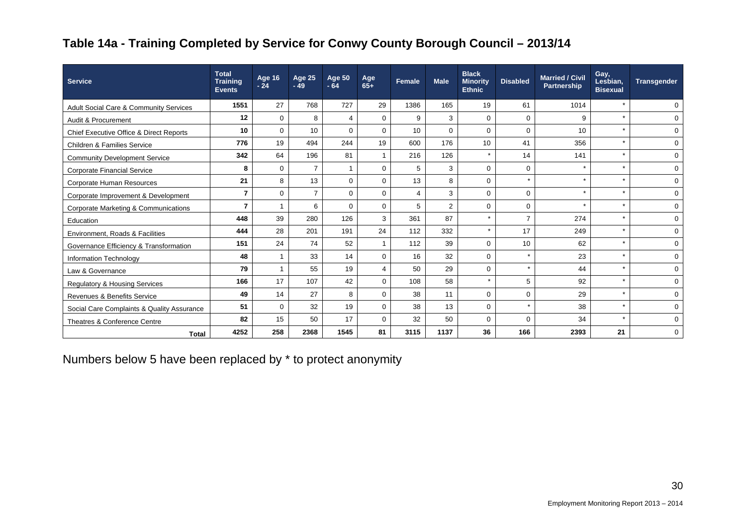## **Table 14a - Training Completed by Service for Conwy County Borough Council – 2013/14**

| <b>Service</b>                                    | <b>Total</b><br><b>Training</b><br><b>Events</b> | <b>Age 16</b><br>$-24$ | Age 25<br>$-49$ | <b>Age 50</b><br>$-64$ | Age<br>$65+$   | Female | <b>Male</b>    | <b>Black</b><br><b>Minority</b><br><b>Ethnic</b> | <b>Disabled</b> | <b>Married / Civil</b><br><b>Partnership</b> | Gay,<br>Lesbian.<br><b>Bisexual</b> | <b>Transgender</b> |
|---------------------------------------------------|--------------------------------------------------|------------------------|-----------------|------------------------|----------------|--------|----------------|--------------------------------------------------|-----------------|----------------------------------------------|-------------------------------------|--------------------|
| <b>Adult Social Care &amp; Community Services</b> | 1551                                             | 27                     | 768             | 727                    | 29             | 1386   | 165            | 19                                               | 61              | 1014                                         | $\star$                             | 0                  |
| Audit & Procurement                               | 12                                               | $\mathbf 0$            | 8               | 4                      | $\mathbf{0}$   | 9      | 3              | $\mathbf 0$                                      | $\mathbf 0$     | 9                                            | $\star$                             | $\mathbf 0$        |
| Chief Executive Office & Direct Reports           | 10                                               | $\mathbf 0$            | 10              | $\Omega$               | $\Omega$       | 10     | $\Omega$       | $\Omega$                                         | $\mathbf 0$     | 10                                           | $\star$                             | 0                  |
| <b>Children &amp; Families Service</b>            | 776                                              | 19                     | 494             | 244                    | 19             | 600    | 176            | 10                                               | 41              | 356                                          | $\star$                             | $\mathbf 0$        |
| <b>Community Development Service</b>              | 342                                              | 64                     | 196             | 81                     | $\mathbf{1}$   | 216    | 126            | $\star$                                          | 14              | 141                                          | $\star$                             | 0                  |
| <b>Corporate Financial Service</b>                | 8                                                | $\mathbf 0$            | $\overline{7}$  | 1                      | $\Omega$       | 5      | 3              | $\Omega$                                         | $\mathbf 0$     |                                              | $\star$                             | 0                  |
| Corporate Human Resources                         | 21                                               | 8                      | 13              | $\Omega$               | $\Omega$       | 13     | 8              | $\mathbf 0$                                      | $\star$         | $\star$                                      | $\star$                             | 0                  |
| Corporate Improvement & Development               | $\overline{7}$                                   | $\mathbf 0$            | $\overline{7}$  | $\Omega$               | $\Omega$       | 4      | 3              | $\Omega$                                         | $\mathbf 0$     | $\star$                                      | $\star$                             | 0                  |
| Corporate Marketing & Communications              | $\overline{7}$                                   | 1                      | 6               | $\Omega$               | $\Omega$       | 5      | $\overline{2}$ | $\mathbf 0$                                      | $\mathbf 0$     | $\star$                                      | $\star$                             | 0                  |
| Education                                         | 448                                              | 39                     | 280             | 126                    | 3              | 361    | 87             | $\star$                                          | $\overline{7}$  | 274                                          | $\star$                             | $\mathbf 0$        |
| Environment, Roads & Facilities                   | 444                                              | 28                     | 201             | 191                    | 24             | 112    | 332            | $\star$                                          | 17              | 249                                          | $\star$                             | $\mathbf{0}$       |
| Governance Efficiency & Transformation            | 151                                              | 24                     | 74              | 52                     | $\mathbf{1}$   | 112    | 39             | $\Omega$                                         | 10              | 62                                           | $\star$                             | 0                  |
| Information Technology                            | 48                                               | $\overline{1}$         | 33              | 14                     | $\Omega$       | 16     | 32             | $\Omega$                                         | $\star$         | 23                                           | $\star$                             | 0                  |
| Law & Governance                                  | 79                                               | $\overline{1}$         | 55              | 19                     | $\overline{4}$ | 50     | 29             | $\Omega$                                         | $\star$         | 44                                           | $\star$                             | 0                  |
| <b>Regulatory &amp; Housing Services</b>          | 166                                              | 17                     | 107             | 42                     | $\Omega$       | 108    | 58             | $\star$                                          | 5               | 92                                           | $\star$                             | $\mathbf 0$        |
| Revenues & Benefits Service                       | 49                                               | 14                     | 27              | 8                      | $\Omega$       | 38     | 11             | $\mathbf 0$                                      | $\mathbf 0$     | 29                                           | $\star$                             | 0                  |
| Social Care Complaints & Quality Assurance        | 51                                               | $\mathbf 0$            | 32              | 19                     | $\Omega$       | 38     | 13             | $\Omega$                                         | $\star$         | 38                                           | $\star$                             | 0                  |
| Theatres & Conference Centre                      | 82                                               | 15                     | 50              | 17                     | $\Omega$       | 32     | 50             | $\Omega$                                         | $\mathbf 0$     | 34                                           | $\star$                             | $\mathbf 0$        |
| <b>Total</b>                                      | 4252                                             | 258                    | 2368            | 1545                   | 81             | 3115   | 1137           | 36                                               | 166             | 2393                                         | 21                                  | $\mathbf 0$        |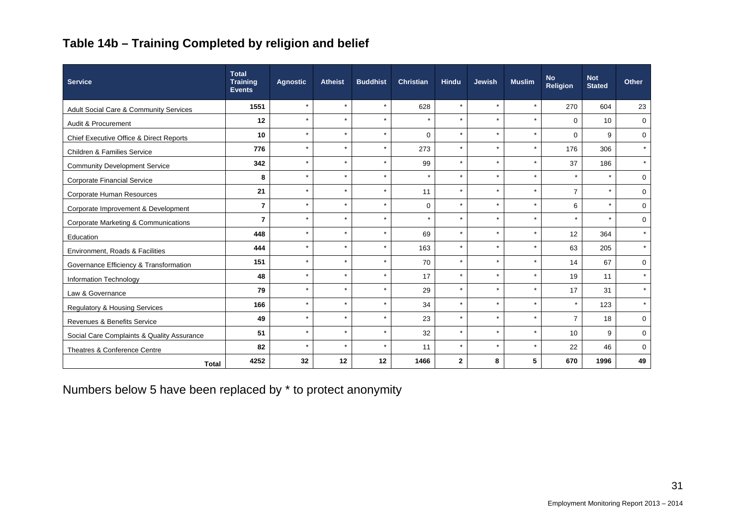## **Table 14b – Training Completed by religion and belief**

| <b>Service</b>                             | <b>Total</b><br><b>Training</b><br><b>Events</b> | <b>Agnostic</b> | <b>Atheist</b> | <b>Buddhist</b> | <b>Christian</b> | <b>Hindu</b> | <b>Jewish</b> | <b>Muslim</b> | <b>No</b><br><b>Religion</b> | <b>Not</b><br><b>Stated</b> | <b>Other</b> |
|--------------------------------------------|--------------------------------------------------|-----------------|----------------|-----------------|------------------|--------------|---------------|---------------|------------------------------|-----------------------------|--------------|
| Adult Social Care & Community Services     | 1551                                             | $\star$         | $\star$        | $\star$         | 628              | $\star$      | $\star$       | $\star$       | 270                          | 604                         | 23           |
| Audit & Procurement                        | 12                                               | $\star$         | $\star$        | $\star$         | $\star$          | $\star$      | $\star$       | $\star$       | $\mathbf{0}$                 | 10                          | $\mathbf 0$  |
| Chief Executive Office & Direct Reports    | 10                                               | $\star$         | $\star$        | $\star$         | $\mathbf 0$      | $\star$      | $\star$       | $\star$       | $\Omega$                     | 9                           | $\mathbf 0$  |
| Children & Families Service                | 776                                              | $\star$         | $\star$        | $\star$         | 273              | $\star$      | $\star$       | $\star$       | 176                          | 306                         | $\star$      |
| <b>Community Development Service</b>       | 342                                              | $\star$         | $\star$        | $\star$         | 99               | $\star$      | $\star$       | $\star$       | 37                           | 186                         | $\star$      |
| <b>Corporate Financial Service</b>         | 8                                                | $\star$         | $\star$        | $\star$         | $\star$          | $\star$      | $\star$       | $\star$       | $\star$                      | $\star$                     | $\mathbf 0$  |
| Corporate Human Resources                  | 21                                               | $\star$         | $\star$        | $\star$         | 11               | $\star$      | $\star$       | $\star$       | $\overline{7}$               | $\star$                     | $\mathbf 0$  |
| Corporate Improvement & Development        | $\overline{7}$                                   | $\star$         | $\star$        | $\star$         | $\mathbf 0$      | $\star$      | $\star$       | $\star$       | 6                            | $\star$                     | $\mathbf 0$  |
| Corporate Marketing & Communications       | $\overline{7}$                                   | $\star$         | $\star$        | $\star$         | $\star$          | $\star$      | $\star$       | $\star$       | $\star$                      | $\star$                     | $\mathbf 0$  |
| Education                                  | 448                                              | $\star$         | $\star$        | $\star$         | 69               | $\star$      | $\star$       | $\star$       | 12                           | 364                         | $\star$      |
| Environment, Roads & Facilities            | 444                                              | $\star$         | $\star$        | $\star$         | 163              | $\star$      | $\star$       | $\star$       | 63                           | 205                         | $\star$      |
| Governance Efficiency & Transformation     | 151                                              | $\star$         | $\star$        | $\star$         | 70               | $\star$      | $\star$       | $\star$       | 14                           | 67                          | $\mathbf 0$  |
| Information Technology                     | 48                                               | $\star$         | $\star$        | $\star$         | 17               | $\star$      | $\star$       | $\star$       | 19                           | 11                          | $\star$      |
| Law & Governance                           | 79                                               | $\star$         | $\star$        | $\star$         | 29               | $\star$      | $\star$       | $\star$       | 17                           | 31                          | $\star$      |
| <b>Regulatory &amp; Housing Services</b>   | 166                                              | $\star$         | $\star$        | $\star$         | 34               | $\star$      | $\star$       | $\star$       | $\star$                      | 123                         | $\star$      |
| <b>Revenues &amp; Benefits Service</b>     | 49                                               | $\star$         | $\star$        | $\star$         | 23               | $\star$      | $\star$       | $\star$       | $\overline{7}$               | 18                          | $\mathbf 0$  |
| Social Care Complaints & Quality Assurance | 51                                               | $\star$         | $\star$        | $\star$         | 32               | $\star$      | $\star$       | $\star$       | 10                           | 9                           | $\mathbf 0$  |
| Theatres & Conference Centre               | 82                                               | $\bullet$       | $\star$        | $\star$         | 11               | $\star$      | $\star$       | $\star$       | 22                           | 46                          | $\Omega$     |
| <b>Total</b>                               | 4252                                             | 32              | 12             | 12              | 1466             | $\mathbf{2}$ | 8             | 5             | 670                          | 1996                        | 49           |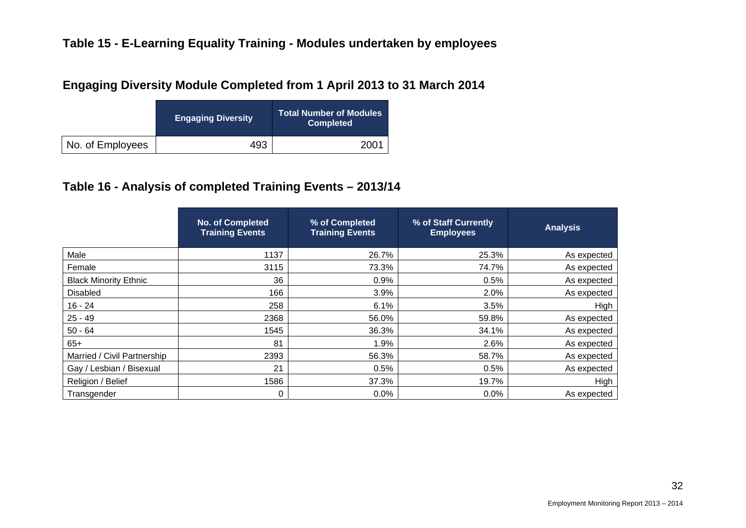## **Engaging Diversity Module Completed from 1 April 2013 to 31 March 2014**

|                  | <b>Engaging Diversity</b> | <b>Total Number of Modules</b><br><b>Completed</b> |
|------------------|---------------------------|----------------------------------------------------|
| No. of Employees | 493                       | 2001                                               |

## **Table 16 - Analysis of completed Training Events – 2013/14**

|                              | <b>No. of Completed</b><br><b>Training Events</b> | % of Completed<br><b>Training Events</b> | % of Staff Currently<br><b>Employees</b> | <b>Analysis</b> |
|------------------------------|---------------------------------------------------|------------------------------------------|------------------------------------------|-----------------|
| Male                         | 1137                                              | 26.7%                                    | 25.3%                                    | As expected     |
| Female                       | 3115                                              | 73.3%                                    | 74.7%                                    | As expected     |
| <b>Black Minority Ethnic</b> | 36                                                | 0.9%                                     | 0.5%                                     | As expected     |
| <b>Disabled</b>              | 166                                               | 3.9%                                     | 2.0%                                     | As expected     |
| $16 - 24$                    | 258                                               | 6.1%                                     | 3.5%                                     | High            |
| $25 - 49$                    | 2368                                              | 56.0%                                    | 59.8%                                    | As expected     |
| $50 - 64$                    | 1545                                              | 36.3%                                    | 34.1%                                    | As expected     |
| $65+$                        | 81                                                | 1.9%                                     | 2.6%                                     | As expected     |
| Married / Civil Partnership  | 2393                                              | 56.3%                                    | 58.7%                                    | As expected     |
| Gay / Lesbian / Bisexual     | 21                                                | 0.5%                                     | 0.5%                                     | As expected     |
| Religion / Belief            | 1586                                              | 37.3%                                    | 19.7%                                    | High            |
| Transgender                  | 0                                                 | 0.0%                                     | 0.0%                                     | As expected     |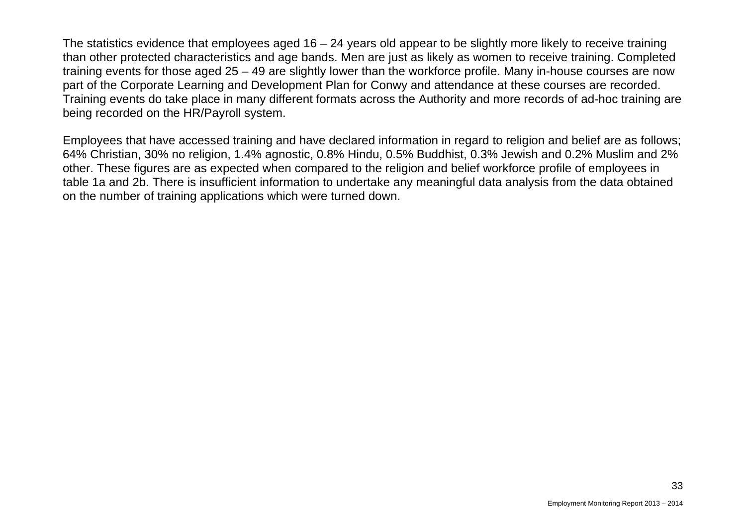The statistics evidence that employees aged  $16 - 24$  years old appear to be slightly more likely to receive training than other protected characteristics and age bands. Men are just as likely as women to receive training. Completed training events for those aged 25 – 49 are slightly lower than the workforce profile. Many in-house courses are now part of the Corporate Learning and Development Plan for Conwy and attendance at these courses are recorded. Training events do take place in many different formats across the Authority and more records of ad-hoc training are being recorded on the HR/Payroll system.

Employees that have accessed training and have declared information in regard to religion and belief are as follows; 64% Christian, 30% no religion, 1.4% agnostic, 0.8% Hindu, 0.5% Buddhist, 0.3% Jewish and 0.2% Muslim and 2% other. These figures are as expected when compared to the religion and belief workforce profile of employees in table 1a and 2b. There is insufficient information to undertake any meaningful data analysis from the data obtained on the number of training applications which were turned down.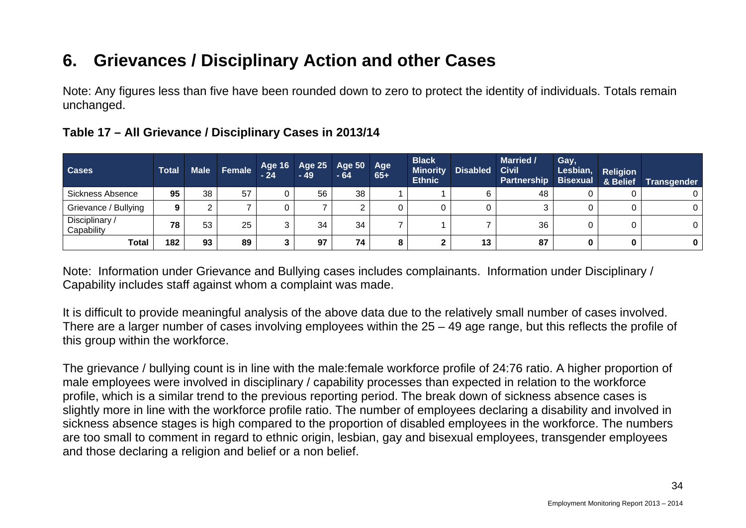# **6. Grievances / Disciplinary Action and other Cases**

Note: Any figures less than five have been rounded down to zero to protect the identity of individuals. Totals remain unchanged.

| <b>Cases</b>                 | <b>Total</b> |    | Male Female Age 16 Age 25 Age 50 |    |    | Age | <b>Black</b><br><b>Minority</b><br><b>Ethnic</b> | <b>Disabled</b> | <b>Married /</b><br><b>Civil</b><br><b>Partnership</b> | Gay,<br>Lesbian, | <b>Religion</b> | Bisexual & Belief Transgender |
|------------------------------|--------------|----|----------------------------------|----|----|-----|--------------------------------------------------|-----------------|--------------------------------------------------------|------------------|-----------------|-------------------------------|
| Sickness Absence             | 95           | 38 | 57                               | 56 | 38 |     |                                                  |                 | 48                                                     |                  |                 |                               |
| Grievance / Bullying         |              |    |                                  |    |    |     |                                                  |                 |                                                        |                  |                 |                               |
| Disciplinary /<br>Capability | 78           | 53 | 25                               | 34 | 34 |     |                                                  |                 | 36                                                     |                  |                 |                               |
| Total                        | 182          | 93 | 89                               | 97 | 74 | о   | າ<br>∠                                           | 13              | 87                                                     |                  |                 |                               |

## **Table 17 – All Grievance / Disciplinary Cases in 2013/14**

Note: Information under Grievance and Bullying cases includes complainants. Information under Disciplinary / Capability includes staff against whom a complaint was made.

It is difficult to provide meaningful analysis of the above data due to the relatively small number of cases involved. There are a larger number of cases involving employees within the 25 – 49 age range, but this reflects the profile of this group within the workforce.

The grievance / bullying count is in line with the male:female workforce profile of 24:76 ratio. A higher proportion of male employees were involved in disciplinary / capability processes than expected in relation to the workforce profile, which is a similar trend to the previous reporting period. The break down of sickness absence cases is slightly more in line with the workforce profile ratio. The number of employees declaring a disability and involved in sickness absence stages is high compared to the proportion of disabled employees in the workforce. The numbers are too small to comment in regard to ethnic origin, lesbian, gay and bisexual employees, transgender employees and those declaring a religion and belief or a non belief.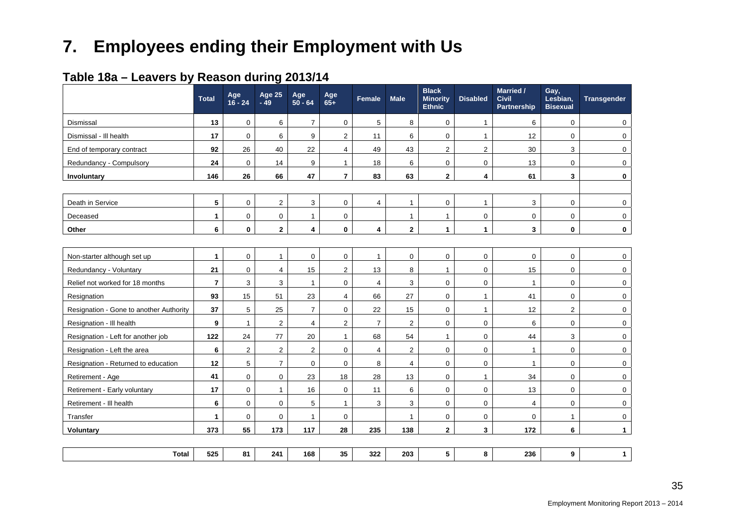# **7. Employees ending their Employment with Us**

|                                         | <b>Total</b>   | Age<br>$16 - 24$ | Age 25<br>$-49$ | Age<br>$50 - 64$ | Age<br>$65+$            | Female                  | <b>Male</b>    | <b>Black</b><br><b>Minority</b><br><b>Ethnic</b> | <b>Disabled</b> | <b>Married /</b><br><b>Civil</b><br>Partnership | Gay,<br>Lesbian,<br><b>Bisexual</b> | Transgender  |
|-----------------------------------------|----------------|------------------|-----------------|------------------|-------------------------|-------------------------|----------------|--------------------------------------------------|-----------------|-------------------------------------------------|-------------------------------------|--------------|
| Dismissal                               | 13             | $\mathbf 0$      | 6               | $\overline{7}$   | $\pmb{0}$               | 5                       | 8              | $\mathbf 0$                                      | 1               | 6                                               | 0                                   | 0            |
| Dismissal - III health                  | 17             | $\mathbf 0$      | 6               | 9                | $\overline{2}$          | 11                      | 6              | $\mathbf 0$                                      | $\mathbf{1}$    | 12                                              | $\mathbf 0$                         | 0            |
| End of temporary contract               | 92             | 26               | 40              | 22               | $\overline{4}$          | 49                      | 43             | 2                                                | $\sqrt{2}$      | 30                                              | 3                                   | $\Omega$     |
| Redundancy - Compulsory                 | 24             | $\mathbf 0$      | 14              | 9                | $\mathbf{1}$            | 18                      | 6              | $\mathbf{0}$                                     | $\mathbf 0$     | 13                                              | $\mathbf 0$                         | $\Omega$     |
| Involuntary                             | 146            | 26               | 66              | 47               | $\overline{\mathbf{7}}$ | 83                      | 63             | $\mathbf{2}$                                     | 4               | 61                                              | 3                                   | 0            |
|                                         |                |                  |                 |                  |                         |                         |                |                                                  |                 |                                                 |                                     |              |
| Death in Service                        | 5              | $\mathbf 0$      | $\mathbf{2}$    | 3                | $\mathbf 0$             | $\overline{4}$          | $\mathbf{1}$   | $\mathbf 0$                                      | $\mathbf{1}$    | 3                                               | 0                                   | 0            |
| Deceased                                | 1              | $\mathbf 0$      | $\mathbf 0$     | $\mathbf{1}$     | 0                       |                         | $\mathbf{1}$   | $\mathbf{1}$                                     | $\mathbf 0$     | $\mathbf 0$                                     | 0                                   | 0            |
| Other                                   | 6              | $\mathbf 0$      | $\overline{2}$  | 4                | $\mathbf{0}$            | 4                       | $\mathbf{2}$   | $\mathbf{1}$                                     | $\mathbf{1}$    | 3                                               | $\mathbf 0$                         | $\mathbf{0}$ |
|                                         |                |                  |                 |                  |                         |                         |                |                                                  |                 |                                                 |                                     |              |
| Non-starter although set up             | 1              | $\mathbf 0$      | $\mathbf{1}$    | 0                | 0                       | $\mathbf{1}$            | 0              | $\mathbf 0$                                      | $\mathbf 0$     | $\mathbf 0$                                     | 0                                   | 0            |
| Redundancy - Voluntary                  | 21             | $\mathbf 0$      | $\overline{4}$  | 15               | $\overline{2}$          | 13                      | 8              | $\mathbf{1}$                                     | $\mathbf 0$     | 15                                              | $\mathbf 0$                         | $\Omega$     |
| Relief not worked for 18 months         | $\overline{7}$ | 3                | 3               | 1                | 0                       | $\overline{\mathbf{4}}$ | 3              | $\mathbf 0$                                      | $\mathbf 0$     | $\mathbf{1}$                                    | 0                                   | 0            |
| Resignation                             | 93             | 15               | 51              | 23               | $\overline{4}$          | 66                      | 27             | $\mathbf 0$                                      | $\mathbf{1}$    | 41                                              | $\mathbf 0$                         | 0            |
| Resignation - Gone to another Authority | 37             | $\,$ 5 $\,$      | 25              | $\overline{7}$   | 0                       | 22                      | 15             | $\mathsf 0$                                      | $\mathbf{1}$    | 12                                              | $\overline{a}$                      | 0            |
| Resignation - Ill health                | 9              | $\mathbf{1}$     | $\overline{2}$  | $\overline{4}$   | $\boldsymbol{2}$        | $\overline{7}$          | $\sqrt{2}$     | $\mathbf 0$                                      | $\mathbf 0$     | 6                                               | 0                                   | 0            |
| Resignation - Left for another job      | 122            | 24               | 77              | 20               | $\mathbf{1}$            | 68                      | 54             | $\mathbf{1}$                                     | 0               | 44                                              | 3                                   | 0            |
| Resignation - Left the area             | $6\phantom{1}$ | 2                | 2               | $\overline{2}$   | 0                       | $\overline{4}$          | $\overline{2}$ | $\mathbf 0$                                      | $\mathbf 0$     | $\mathbf{1}$                                    | $\mathbf 0$                         | $\Omega$     |
| Resignation - Returned to education     | 12             | $\,$ 5 $\,$      | $\overline{7}$  | 0                | 0                       | 8                       | 4              | $\mathbf 0$                                      | $\mathbf 0$     | $\mathbf{1}$                                    | 0                                   | 0            |
| Retirement - Age                        | 41             | $\mathbf 0$      | $\mathbf 0$     | 23               | 18                      | 28                      | 13             | $\mathbf 0$                                      | $\mathbf{1}$    | 34                                              | 0                                   | 0            |
| Retirement - Early voluntary            | 17             | $\mathbf 0$      | $\mathbf{1}$    | 16               | 0                       | 11                      | 6              | $\mathbf 0$                                      | $\mathbf 0$     | 13                                              | 0                                   | 0            |
| Retirement - Ill health                 | 6              | $\mathbf 0$      | $\mathbf 0$     | 5                | $\mathbf{1}$            | 3                       | 3              | $\mathbf 0$                                      | $\mathbf 0$     | $\overline{4}$                                  | $\mathbf 0$                         | $\Omega$     |
| Transfer                                | 1              | $\mathbf 0$      | $\mathbf 0$     | 1                | 0                       |                         | $\mathbf{1}$   | $\mathbf 0$                                      | $\mathbf 0$     | $\mathbf 0$                                     | $\mathbf{1}$                        | 0            |
| Voluntary                               | 373            | 55               | 173             | 117              | 28                      | 235                     | 138            | $\mathbf{2}$                                     | $\mathbf{3}$    | 172                                             | 6                                   | $\mathbf{1}$ |
|                                         |                |                  |                 |                  |                         |                         |                |                                                  |                 |                                                 |                                     |              |
| <b>Total</b>                            | 525            | 81               | 241             | 168              | 35                      | 322                     | 203            | $5\phantom{a}$                                   | 8               | 236                                             | 9                                   | $\mathbf{1}$ |

## **Table 18a – Leavers by Reason during 2013/14**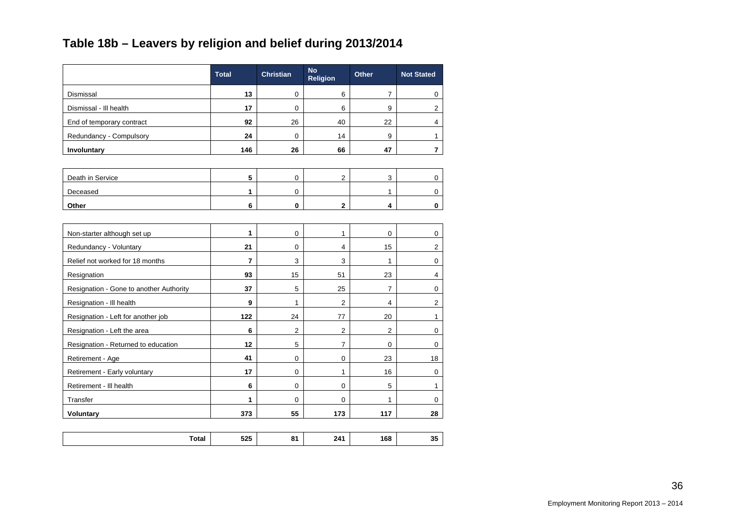## **Table 18b – Leavers by religion and belief during 2013/2014**

|                                         | <b>Total</b>   | <b>Christian</b> | No<br><b>Religion</b> | <b>Other</b>     | <b>Not Stated</b> |
|-----------------------------------------|----------------|------------------|-----------------------|------------------|-------------------|
| Dismissal                               | 13             | $\mathbf 0$      | 6                     | $\overline{7}$   | 0                 |
| Dismissal - Ill health                  | 17             | 0                | 6                     | 9                | $\mathbf{2}$      |
| End of temporary contract               | 92             | 26               | 40                    | 22               | 4                 |
| Redundancy - Compulsory                 | 24             | 0                | 14                    | $\boldsymbol{9}$ | $\mathbf{1}$      |
| Involuntary                             | 146            | 26               | 66                    | 47               | $\overline{7}$    |
|                                         |                |                  |                       |                  |                   |
| Death in Service                        | 5              | $\mathsf 0$      | $\overline{2}$        | 3                | 0                 |
| Deceased                                | 1              | $\mathbf 0$      |                       | 1                | $\mathbf 0$       |
| Other                                   | 6              | 0                | $\mathbf{2}$          | 4                | 0                 |
|                                         |                |                  |                       |                  |                   |
| Non-starter although set up             | 1              | $\mathbf 0$      | 1                     | $\mathbf 0$      | 0                 |
| Redundancy - Voluntary                  | 21             | $\mathbf 0$      | 4                     | 15               | $\mathbf{2}$      |
| Relief not worked for 18 months         | $\overline{7}$ | 3                | 3                     | $\mathbf{1}$     | $\mathbf 0$       |
| Resignation                             | 93             | 15               | 51                    | 23               | $\overline{4}$    |
| Resignation - Gone to another Authority | 37             | 5                | 25                    | $\overline{7}$   | $\mathbf 0$       |
| Resignation - Ill health                | 9              | 1                | $\overline{2}$        | $\overline{4}$   | $\boldsymbol{2}$  |
| Resignation - Left for another job      | 122            | 24               | 77                    | 20               | $\mathbf{1}$      |
| Resignation - Left the area             | 6              | 2                | $\overline{2}$        | 2                | $\mathbf 0$       |
| Resignation - Returned to education     | 12             | 5                | $\overline{7}$        | 0                | 0                 |
| Retirement - Age                        | 41             | 0                | 0                     | 23               | $18\,$            |
| Retirement - Early voluntary            | 17             | $\mathsf 0$      | $\mathbf{1}$          | 16               | $\pmb{0}$         |
| Retirement - III health                 | 6              | $\mathbf 0$      | $\mathbf 0$           | 5                | $\mathbf{1}$      |
| Transfer                                | 1              | $\mathbf 0$      | $\mathbf 0$           | $\mathbf{1}$     | $\mathbf 0$       |
| Voluntary                               | 373            | 55               | 173                   | 117              | 28                |
|                                         |                |                  |                       |                  |                   |
| <b>Total</b>                            | 525            | 81               | 241                   | 168              | 35                |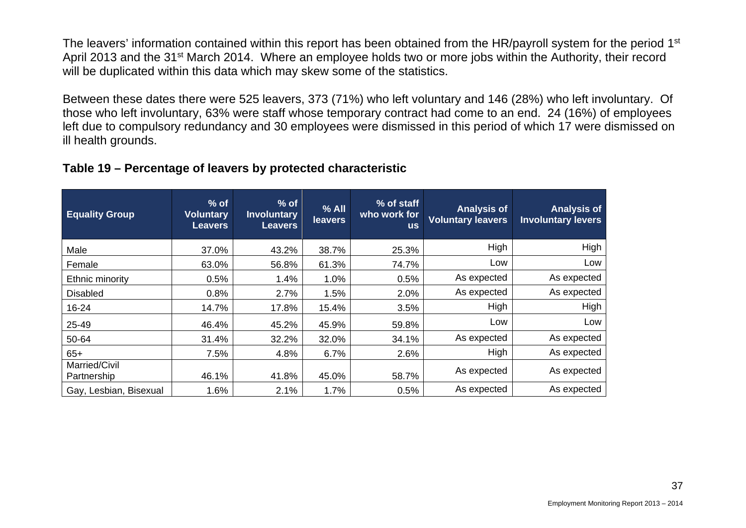The leavers' information contained within this report has been obtained from the HR/payroll system for the period 1<sup>st</sup> April 2013 and the 31<sup>st</sup> March 2014. Where an employee holds two or more jobs within the Authority, their record will be duplicated within this data which may skew some of the statistics.

Between these dates there were 525 leavers, 373 (71%) who left voluntary and 146 (28%) who left involuntary. Of those who left involuntary, 63% were staff whose temporary contract had come to an end. 24 (16%) of employees left due to compulsory redundancy and 30 employees were dismissed in this period of which 17 were dismissed on ill health grounds.

#### **Table 19 – Percentage of leavers by protected characteristic**

| <b>Equality Group</b>        | $%$ of<br><b>Voluntary</b><br><b>Leavers</b> | $%$ of<br><b>Involuntary</b><br><b>Leavers</b> | $%$ All<br>leavers | % of staff<br>who work for<br><b>us</b> | <b>Analysis of</b><br><b>Voluntary leavers</b> | <b>Analysis of</b><br><b>Involuntary levers</b> |
|------------------------------|----------------------------------------------|------------------------------------------------|--------------------|-----------------------------------------|------------------------------------------------|-------------------------------------------------|
| Male                         | 37.0%                                        | 43.2%                                          | 38.7%              | 25.3%                                   | High                                           | High                                            |
| Female                       | 63.0%                                        | 56.8%                                          | 61.3%              | 74.7%                                   | Low                                            | Low                                             |
| Ethnic minority              | 0.5%                                         | 1.4%                                           | 1.0%               | 0.5%                                    | As expected                                    | As expected                                     |
| <b>Disabled</b>              | 0.8%                                         | 2.7%                                           | 1.5%               | 2.0%                                    | As expected                                    | As expected                                     |
| 16-24                        | 14.7%                                        | 17.8%                                          | 15.4%              | 3.5%                                    | High                                           | High                                            |
| 25-49                        | 46.4%                                        | 45.2%                                          | 45.9%              | 59.8%                                   | Low                                            | Low                                             |
| 50-64                        | 31.4%                                        | 32.2%                                          | 32.0%              | 34.1%                                   | As expected                                    | As expected                                     |
| $65+$                        | 7.5%                                         | 4.8%                                           | 6.7%               | 2.6%                                    | High                                           | As expected                                     |
| Married/Civil<br>Partnership | 46.1%                                        | 41.8%                                          | 45.0%              | 58.7%                                   | As expected                                    | As expected                                     |
| Gay, Lesbian, Bisexual       | 1.6%                                         | 2.1%                                           | 1.7%               | 0.5%                                    | As expected                                    | As expected                                     |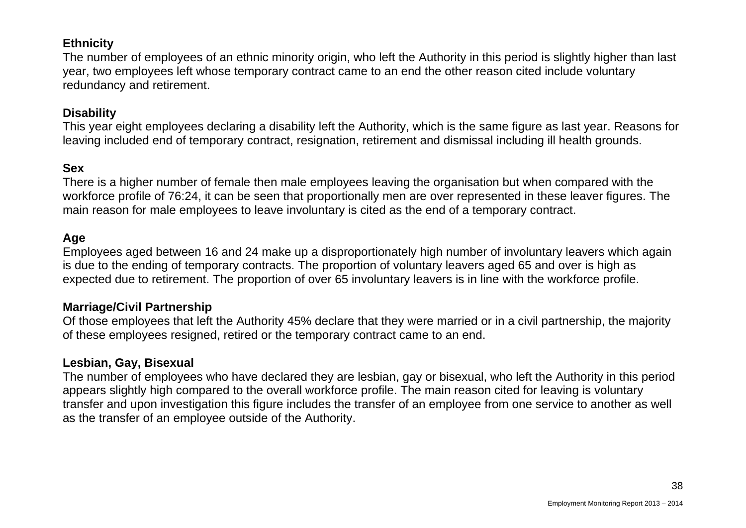#### **Ethnicity**

The number of employees of an ethnic minority origin, who left the Authority in this period is slightly higher than last year, two employees left whose temporary contract came to an end the other reason cited include voluntary redundancy and retirement.

#### **Disability**

This year eight employees declaring a disability left the Authority, which is the same figure as last year. Reasons for leaving included end of temporary contract, resignation, retirement and dismissal including ill health grounds.

#### **Sex**

There is a higher number of female then male employees leaving the organisation but when compared with the workforce profile of 76:24, it can be seen that proportionally men are over represented in these leaver figures. The main reason for male employees to leave involuntary is cited as the end of a temporary contract.

#### **Age**

Employees aged between 16 and 24 make up a disproportionately high number of involuntary leavers which again is due to the ending of temporary contracts. The proportion of voluntary leavers aged 65 and over is high as expected due to retirement. The proportion of over 65 involuntary leavers is in line with the workforce profile.

#### **Marriage/Civil Partnership**

Of those employees that left the Authority 45% declare that they were married or in a civil partnership, the majority of these employees resigned, retired or the temporary contract came to an end.

#### **Lesbian, Gay, Bisexual**

The number of employees who have declared they are lesbian, gay or bisexual, who left the Authority in this period appears slightly high compared to the overall workforce profile. The main reason cited for leaving is voluntary transfer and upon investigation this figure includes the transfer of an employee from one service to another as well as the transfer of an employee outside of the Authority.